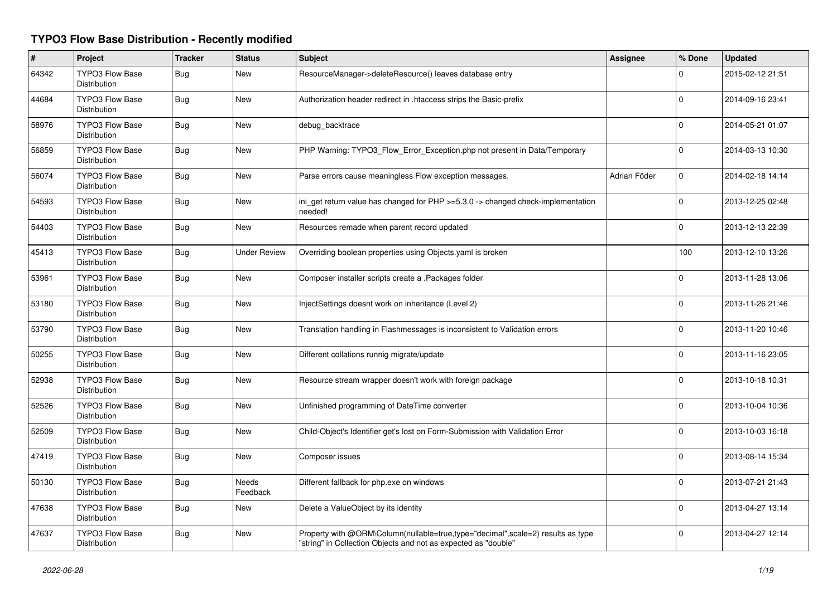## **TYPO3 Flow Base Distribution - Recently modified**

| $\pmb{\sharp}$ | Project                                       | <b>Tracker</b> | <b>Status</b>            | <b>Subject</b>                                                                                                                                    | Assignee     | % Done      | <b>Updated</b>   |
|----------------|-----------------------------------------------|----------------|--------------------------|---------------------------------------------------------------------------------------------------------------------------------------------------|--------------|-------------|------------------|
| 64342          | <b>TYPO3 Flow Base</b><br><b>Distribution</b> | Bug            | <b>New</b>               | ResourceManager->deleteResource() leaves database entry                                                                                           |              | $\Omega$    | 2015-02-12 21:51 |
| 44684          | <b>TYPO3 Flow Base</b><br><b>Distribution</b> | <b>Bug</b>     | <b>New</b>               | Authorization header redirect in .htaccess strips the Basic-prefix                                                                                |              | $\Omega$    | 2014-09-16 23:41 |
| 58976          | <b>TYPO3 Flow Base</b><br><b>Distribution</b> | <b>Bug</b>     | <b>New</b>               | debug_backtrace                                                                                                                                   |              | $\Omega$    | 2014-05-21 01:07 |
| 56859          | <b>TYPO3 Flow Base</b><br><b>Distribution</b> | <b>Bug</b>     | <b>New</b>               | PHP Warning: TYPO3_Flow_Error_Exception.php not present in Data/Temporary                                                                         |              | $\Omega$    | 2014-03-13 10:30 |
| 56074          | <b>TYPO3 Flow Base</b><br>Distribution        | Bug            | <b>New</b>               | Parse errors cause meaningless Flow exception messages.                                                                                           | Adrian Föder | 0           | 2014-02-18 14:14 |
| 54593          | <b>TYPO3 Flow Base</b><br>Distribution        | Bug            | <b>New</b>               | ini_get return value has changed for PHP >=5.3.0 -> changed check-implementation<br>needed!                                                       |              | $\mathbf 0$ | 2013-12-25 02:48 |
| 54403          | <b>TYPO3 Flow Base</b><br>Distribution        | Bug            | <b>New</b>               | Resources remade when parent record updated                                                                                                       |              | $\mathbf 0$ | 2013-12-13 22:39 |
| 45413          | TYPO3 Flow Base<br>Distribution               | Bug            | <b>Under Review</b>      | Overriding boolean properties using Objects yaml is broken                                                                                        |              | 100         | 2013-12-10 13:26 |
| 53961          | <b>TYPO3 Flow Base</b><br>Distribution        | Bug            | <b>New</b>               | Composer installer scripts create a .Packages folder                                                                                              |              | $\mathbf 0$ | 2013-11-28 13:06 |
| 53180          | <b>TYPO3 Flow Base</b><br>Distribution        | <b>Bug</b>     | <b>New</b>               | InjectSettings doesnt work on inheritance (Level 2)                                                                                               |              | 0           | 2013-11-26 21:46 |
| 53790          | <b>TYPO3 Flow Base</b><br><b>Distribution</b> | Bug            | <b>New</b>               | Translation handling in Flashmessages is inconsistent to Validation errors                                                                        |              | $\mathbf 0$ | 2013-11-20 10:46 |
| 50255          | TYPO3 Flow Base<br><b>Distribution</b>        | Bug            | New                      | Different collations runnig migrate/update                                                                                                        |              | $\mathbf 0$ | 2013-11-16 23:05 |
| 52938          | <b>TYPO3 Flow Base</b><br>Distribution        | <b>Bug</b>     | <b>New</b>               | Resource stream wrapper doesn't work with foreign package                                                                                         |              | 0           | 2013-10-18 10:31 |
| 52526          | TYPO3 Flow Base<br><b>Distribution</b>        | <b>Bug</b>     | <b>New</b>               | Unfinished programming of DateTime converter                                                                                                      |              | $\Omega$    | 2013-10-04 10:36 |
| 52509          | <b>TYPO3 Flow Base</b><br><b>Distribution</b> | Bug            | <b>New</b>               | Child-Object's Identifier get's lost on Form-Submission with Validation Error                                                                     |              | $\Omega$    | 2013-10-03 16:18 |
| 47419          | TYPO3 Flow Base<br><b>Distribution</b>        | <b>Bug</b>     | <b>New</b>               | Composer issues                                                                                                                                   |              | $\Omega$    | 2013-08-14 15:34 |
| 50130          | <b>TYPO3 Flow Base</b><br><b>Distribution</b> | <b>Bug</b>     | <b>Needs</b><br>Feedback | Different fallback for php.exe on windows                                                                                                         |              | $\Omega$    | 2013-07-21 21:43 |
| 47638          | TYPO3 Flow Base<br>Distribution               | Bug            | <b>New</b>               | Delete a ValueObject by its identity                                                                                                              |              | $\Omega$    | 2013-04-27 13:14 |
| 47637          | <b>TYPO3 Flow Base</b><br>Distribution        | Bug            | <b>New</b>               | Property with @ORM\Column(nullable=true,type="decimal",scale=2) results as type<br>"string" in Collection Objects and not as expected as "double" |              | $\Omega$    | 2013-04-27 12:14 |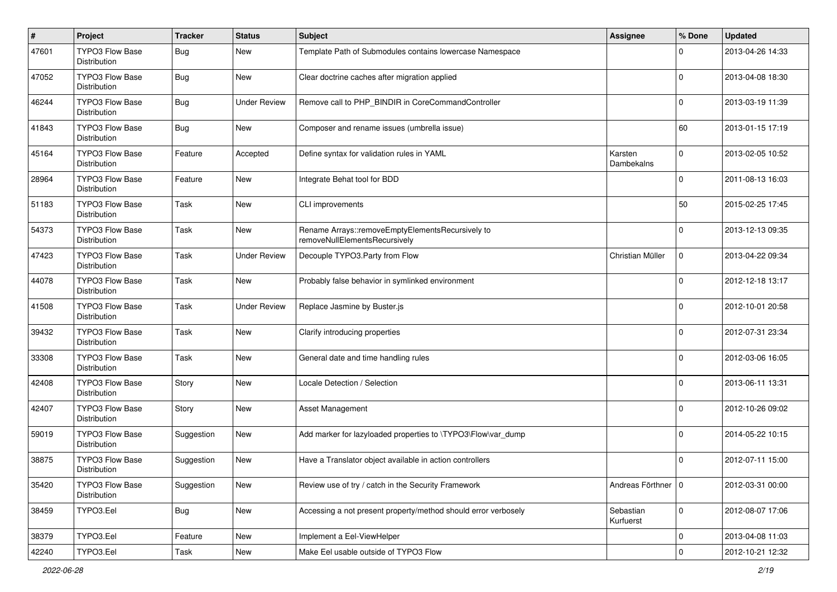| $\sharp$ | Project                                | <b>Tracker</b> | <b>Status</b>       | <b>Subject</b>                                                                    | <b>Assignee</b>        | % Done      | <b>Updated</b>   |
|----------|----------------------------------------|----------------|---------------------|-----------------------------------------------------------------------------------|------------------------|-------------|------------------|
| 47601    | TYPO3 Flow Base<br>Distribution        | <b>Bug</b>     | New                 | Template Path of Submodules contains lowercase Namespace                          |                        | 0           | 2013-04-26 14:33 |
| 47052    | <b>TYPO3 Flow Base</b><br>Distribution | <b>Bug</b>     | <b>New</b>          | Clear doctrine caches after migration applied                                     |                        | 0           | 2013-04-08 18:30 |
| 46244    | TYPO3 Flow Base<br>Distribution        | <b>Bug</b>     | <b>Under Review</b> | Remove call to PHP_BINDIR in CoreCommandController                                |                        | 0           | 2013-03-19 11:39 |
| 41843    | <b>TYPO3 Flow Base</b><br>Distribution | <b>Bug</b>     | New                 | Composer and rename issues (umbrella issue)                                       |                        | 60          | 2013-01-15 17:19 |
| 45164    | TYPO3 Flow Base<br><b>Distribution</b> | Feature        | Accepted            | Define syntax for validation rules in YAML                                        | Karsten<br>Dambekalns  | $\mathbf 0$ | 2013-02-05 10:52 |
| 28964    | TYPO3 Flow Base<br>Distribution        | Feature        | <b>New</b>          | Integrate Behat tool for BDD                                                      |                        | $\Omega$    | 2011-08-13 16:03 |
| 51183    | TYPO3 Flow Base<br>Distribution        | Task           | <b>New</b>          | CLI improvements                                                                  |                        | 50          | 2015-02-25 17:45 |
| 54373    | TYPO3 Flow Base<br>Distribution        | Task           | New                 | Rename Arrays::removeEmptyElementsRecursively to<br>removeNullElementsRecursively |                        | 0           | 2013-12-13 09:35 |
| 47423    | <b>TYPO3 Flow Base</b><br>Distribution | Task           | <b>Under Review</b> | Decouple TYPO3.Party from Flow                                                    | Christian Müller       | 0           | 2013-04-22 09:34 |
| 44078    | TYPO3 Flow Base<br>Distribution        | Task           | <b>New</b>          | Probably false behavior in symlinked environment                                  |                        | 0           | 2012-12-18 13:17 |
| 41508    | <b>TYPO3 Flow Base</b><br>Distribution | Task           | <b>Under Review</b> | Replace Jasmine by Buster.js                                                      |                        | $\Omega$    | 2012-10-01 20:58 |
| 39432    | TYPO3 Flow Base<br>Distribution        | Task           | <b>New</b>          | Clarify introducing properties                                                    |                        | 0           | 2012-07-31 23:34 |
| 33308    | TYPO3 Flow Base<br>Distribution        | Task           | <b>New</b>          | General date and time handling rules                                              |                        | $\Omega$    | 2012-03-06 16:05 |
| 42408    | TYPO3 Flow Base<br>Distribution        | Story          | <b>New</b>          | Locale Detection / Selection                                                      |                        | 0           | 2013-06-11 13:31 |
| 42407    | <b>TYPO3 Flow Base</b><br>Distribution | Story          | New                 | Asset Management                                                                  |                        | 0           | 2012-10-26 09:02 |
| 59019    | TYPO3 Flow Base<br>Distribution        | Suggestion     | <b>New</b>          | Add marker for lazyloaded properties to \TYPO3\Flow\var_dump                      |                        | 0           | 2014-05-22 10:15 |
| 38875    | TYPO3 Flow Base<br>Distribution        | Suggestion     | <b>New</b>          | Have a Translator object available in action controllers                          |                        | 0           | 2012-07-11 15:00 |
| 35420    | <b>TYPO3 Flow Base</b><br>Distribution | Suggestion     | New                 | Review use of try / catch in the Security Framework                               | Andreas Förthner 10    |             | 2012-03-31 00:00 |
| 38459    | TYPO3.Eel                              | <b>Bug</b>     | New                 | Accessing a not present property/method should error verbosely                    | Sebastian<br>Kurfuerst | $\mathbf 0$ | 2012-08-07 17:06 |
| 38379    | TYPO3.Eel                              | Feature        | New                 | Implement a Eel-ViewHelper                                                        |                        | 0           | 2013-04-08 11:03 |
| 42240    | TYPO3.Eel                              | Task           | New                 | Make Eel usable outside of TYPO3 Flow                                             |                        | $\mathbf 0$ | 2012-10-21 12:32 |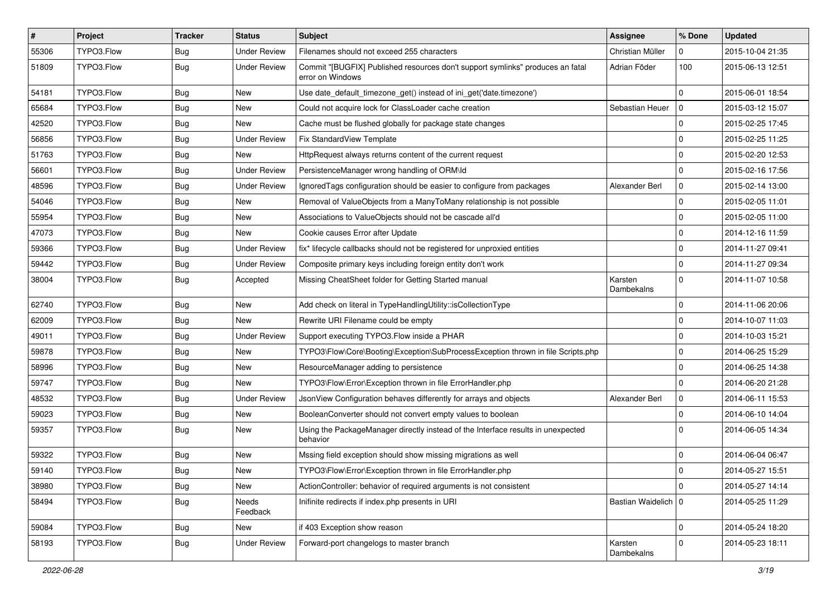| $\vert$ # | Project    | <b>Tracker</b> | <b>Status</b>       | <b>Subject</b>                                                                                     | <b>Assignee</b>       | % Done         | <b>Updated</b>   |
|-----------|------------|----------------|---------------------|----------------------------------------------------------------------------------------------------|-----------------------|----------------|------------------|
| 55306     | TYPO3.Flow | Bug            | <b>Under Review</b> | Filenames should not exceed 255 characters                                                         | Christian Müller      | $\Omega$       | 2015-10-04 21:35 |
| 51809     | TYPO3.Flow | <b>Bug</b>     | <b>Under Review</b> | Commit "[BUGFIX] Published resources don't support symlinks" produces an fatal<br>error on Windows | Adrian Föder          | 100            | 2015-06-13 12:51 |
| 54181     | TYPO3.Flow | Bug            | New                 | Use date_default_timezone_get() instead of ini_get('date.timezone')                                |                       | $\Omega$       | 2015-06-01 18:54 |
| 65684     | TYPO3.Flow | <b>Bug</b>     | New                 | Could not acquire lock for ClassLoader cache creation                                              | Sebastian Heuer       | l 0            | 2015-03-12 15:07 |
| 42520     | TYPO3.Flow | <b>Bug</b>     | New                 | Cache must be flushed globally for package state changes                                           |                       | $\Omega$       | 2015-02-25 17:45 |
| 56856     | TYPO3.Flow | Bug            | <b>Under Review</b> | Fix StandardView Template                                                                          |                       | l 0            | 2015-02-25 11:25 |
| 51763     | TYPO3.Flow | <b>Bug</b>     | New                 | HttpRequest always returns content of the current request                                          |                       | 0              | 2015-02-20 12:53 |
| 56601     | TYPO3.Flow | <b>Bug</b>     | <b>Under Review</b> | PersistenceManager wrong handling of ORM\ld                                                        |                       | $\Omega$       | 2015-02-16 17:56 |
| 48596     | TYPO3.Flow | <b>Bug</b>     | <b>Under Review</b> | Ignored Tags configuration should be easier to configure from packages                             | Alexander Berl        | 0              | 2015-02-14 13:00 |
| 54046     | TYPO3.Flow | <b>Bug</b>     | New                 | Removal of ValueObjects from a ManyToMany relationship is not possible                             |                       | l 0            | 2015-02-05 11:01 |
| 55954     | TYPO3.Flow | <b>Bug</b>     | New                 | Associations to ValueObjects should not be cascade all'd                                           |                       | $\mathbf 0$    | 2015-02-05 11:00 |
| 47073     | TYPO3.Flow | <b>Bug</b>     | <b>New</b>          | Cookie causes Error after Update                                                                   |                       | $\mathbf 0$    | 2014-12-16 11:59 |
| 59366     | TYPO3.Flow | <b>Bug</b>     | <b>Under Review</b> | fix* lifecycle callbacks should not be registered for unproxied entities                           |                       | $\Omega$       | 2014-11-27 09:41 |
| 59442     | TYPO3.Flow | <b>Bug</b>     | <b>Under Review</b> | Composite primary keys including foreign entity don't work                                         |                       | l 0            | 2014-11-27 09:34 |
| 38004     | TYPO3.Flow | <b>Bug</b>     | Accepted            | Missing CheatSheet folder for Getting Started manual                                               | Karsten<br>Dambekalns | l 0            | 2014-11-07 10:58 |
| 62740     | TYPO3.Flow | Bug            | <b>New</b>          | Add check on literal in TypeHandlingUtility::isCollectionType                                      |                       | $\Omega$       | 2014-11-06 20:06 |
| 62009     | TYPO3.Flow | <b>Bug</b>     | New                 | Rewrite URI Filename could be empty                                                                |                       | $\Omega$       | 2014-10-07 11:03 |
| 49011     | TYPO3.Flow | <b>Bug</b>     | <b>Under Review</b> | Support executing TYPO3. Flow inside a PHAR                                                        |                       | $\overline{0}$ | 2014-10-03 15:21 |
| 59878     | TYPO3.Flow | <b>Bug</b>     | <b>New</b>          | TYPO3\Flow\Core\Booting\Exception\SubProcessException thrown in file Scripts.php                   |                       | $\mathbf 0$    | 2014-06-25 15:29 |
| 58996     | TYPO3.Flow | <b>Bug</b>     | New                 | ResourceManager adding to persistence                                                              |                       | $\Omega$       | 2014-06-25 14:38 |
| 59747     | TYPO3.Flow | <b>Bug</b>     | New                 | TYPO3\Flow\Error\Exception thrown in file ErrorHandler.php                                         |                       | $\Omega$       | 2014-06-20 21:28 |
| 48532     | TYPO3.Flow | <b>Bug</b>     | <b>Under Review</b> | JsonView Configuration behaves differently for arrays and objects                                  | Alexander Berl        | 0              | 2014-06-11 15:53 |
| 59023     | TYPO3.Flow | <b>Bug</b>     | New                 | BooleanConverter should not convert empty values to boolean                                        |                       | $\Omega$       | 2014-06-10 14:04 |
| 59357     | TYPO3.Flow | Bug            | New                 | Using the PackageManager directly instead of the Interface results in unexpected<br>behavior       |                       | $\Omega$       | 2014-06-05 14:34 |
| 59322     | TYPO3.Flow | <b>Bug</b>     | New                 | Mssing field exception should show missing migrations as well                                      |                       | $\mathbf 0$    | 2014-06-04 06:47 |
| 59140     | TYPO3.Flow | Bug            | New                 | TYPO3\Flow\Error\Exception thrown in file ErrorHandler.php                                         |                       | 0              | 2014-05-27 15:51 |
| 38980     | TYPO3.Flow | <b>Bug</b>     | New                 | ActionController: behavior of required arguments is not consistent                                 |                       | l O            | 2014-05-27 14:14 |
| 58494     | TYPO3.Flow | <b>Bug</b>     | Needs<br>Feedback   | Inifinite redirects if index.php presents in URI                                                   | Bastian Waidelich 0   |                | 2014-05-25 11:29 |
| 59084     | TYPO3.Flow | <b>Bug</b>     | New                 | if 403 Exception show reason                                                                       |                       | 0              | 2014-05-24 18:20 |
| 58193     | TYPO3.Flow | <b>Bug</b>     | <b>Under Review</b> | Forward-port changelogs to master branch                                                           | Karsten<br>Dambekalns | 0              | 2014-05-23 18:11 |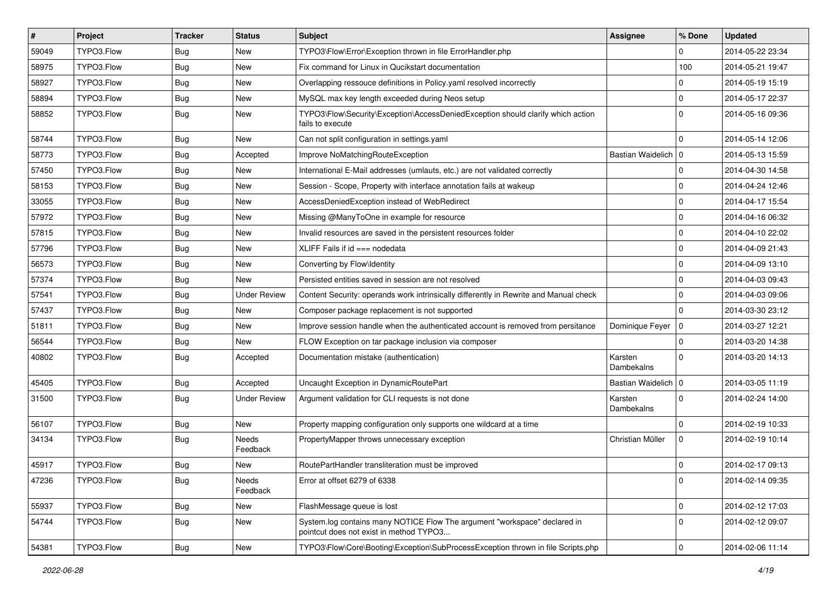| $\vert$ # | Project    | <b>Tracker</b> | <b>Status</b>       | Subject                                                                                                              | <b>Assignee</b>       | % Done      | <b>Updated</b>   |
|-----------|------------|----------------|---------------------|----------------------------------------------------------------------------------------------------------------------|-----------------------|-------------|------------------|
| 59049     | TYPO3.Flow | Bug            | <b>New</b>          | TYPO3\Flow\Error\Exception thrown in file ErrorHandler.php                                                           |                       | 0           | 2014-05-22 23:34 |
| 58975     | TYPO3.Flow | <b>Bug</b>     | <b>New</b>          | Fix command for Linux in Qucikstart documentation                                                                    |                       | 100         | 2014-05-21 19:47 |
| 58927     | TYPO3.Flow | Bug            | New                 | Overlapping ressouce definitions in Policy yaml resolved incorrectly                                                 |                       | $\mathbf 0$ | 2014-05-19 15:19 |
| 58894     | TYPO3.Flow | Bug            | New                 | MySQL max key length exceeded during Neos setup                                                                      |                       | 0           | 2014-05-17 22:37 |
| 58852     | TYPO3.Flow | Bug            | <b>New</b>          | TYPO3\Flow\Security\Exception\AccessDeniedException should clarify which action<br>fails to execute                  |                       | $\mathbf 0$ | 2014-05-16 09:36 |
| 58744     | TYPO3.Flow | Bug            | <b>New</b>          | Can not split configuration in settings.yaml                                                                         |                       | $\mathbf 0$ | 2014-05-14 12:06 |
| 58773     | TYPO3.Flow | Bug            | Accepted            | Improve NoMatchingRouteException                                                                                     | Bastian Waidelich   0 |             | 2014-05-13 15:59 |
| 57450     | TYPO3.Flow | <b>Bug</b>     | New                 | International E-Mail addresses (umlauts, etc.) are not validated correctly                                           |                       | 0           | 2014-04-30 14:58 |
| 58153     | TYPO3.Flow | <b>Bug</b>     | <b>New</b>          | Session - Scope, Property with interface annotation fails at wakeup                                                  |                       | 0           | 2014-04-24 12:46 |
| 33055     | TYPO3.Flow | Bug            | New                 | AccessDeniedException instead of WebRedirect                                                                         |                       | $\mathbf 0$ | 2014-04-17 15:54 |
| 57972     | TYPO3.Flow | Bug            | New                 | Missing @ManyToOne in example for resource                                                                           |                       | 0           | 2014-04-16 06:32 |
| 57815     | TYPO3.Flow | Bug            | New                 | Invalid resources are saved in the persistent resources folder                                                       |                       | 0           | 2014-04-10 22:02 |
| 57796     | TYPO3.Flow | Bug            | <b>New</b>          | XLIFF Fails if $id ==$ nodedata                                                                                      |                       | $\mathbf 0$ | 2014-04-09 21:43 |
| 56573     | TYPO3.Flow | Bug            | New                 | Converting by Flow\Identity                                                                                          |                       | 0           | 2014-04-09 13:10 |
| 57374     | TYPO3.Flow | Bug            | <b>New</b>          | Persisted entities saved in session are not resolved                                                                 |                       | 0           | 2014-04-03 09:43 |
| 57541     | TYPO3.Flow | Bug            | <b>Under Review</b> | Content Security: operands work intrinsically differently in Rewrite and Manual check                                |                       | $\mathbf 0$ | 2014-04-03 09:06 |
| 57437     | TYPO3.Flow | Bug            | <b>New</b>          | Composer package replacement is not supported                                                                        |                       | $\mathbf 0$ | 2014-03-30 23:12 |
| 51811     | TYPO3.Flow | Bug            | New                 | Improve session handle when the authenticated account is removed from persitance                                     | Dominique Feyer       | $\mathbf 0$ | 2014-03-27 12:21 |
| 56544     | TYPO3.Flow | <b>Bug</b>     | <b>New</b>          | FLOW Exception on tar package inclusion via composer                                                                 |                       | $\mathbf 0$ | 2014-03-20 14:38 |
| 40802     | TYPO3.Flow | Bug            | Accepted            | Documentation mistake (authentication)                                                                               | Karsten<br>Dambekalns | $\Omega$    | 2014-03-20 14:13 |
| 45405     | TYPO3.Flow | <b>Bug</b>     | Accepted            | Uncaught Exception in DynamicRoutePart                                                                               | Bastian Waidelich   0 |             | 2014-03-05 11:19 |
| 31500     | TYPO3.Flow | Bug            | <b>Under Review</b> | Argument validation for CLI requests is not done                                                                     | Karsten<br>Dambekalns | $\mathbf 0$ | 2014-02-24 14:00 |
| 56107     | TYPO3.Flow | Bug            | <b>New</b>          | Property mapping configuration only supports one wildcard at a time                                                  |                       | $\mathbf 0$ | 2014-02-19 10:33 |
| 34134     | TYPO3.Flow | Bug            | Needs<br>Feedback   | PropertyMapper throws unnecessary exception                                                                          | Christian Müller      | 0           | 2014-02-19 10:14 |
| 45917     | TYPO3.Flow | Bug            | New                 | RoutePartHandler transliteration must be improved                                                                    |                       | 0           | 2014-02-17 09:13 |
| 47236     | TYPO3.Flow | Bug            | Needs<br>Feedback   | Error at offset 6279 of 6338                                                                                         |                       | 0           | 2014-02-14 09:35 |
| 55937     | TYPO3.Flow | Bug            | New                 | FlashMessage queue is lost                                                                                           |                       | 0           | 2014-02-12 17:03 |
| 54744     | TYPO3.Flow | <b>Bug</b>     | New                 | System.log contains many NOTICE Flow The argument "workspace" declared in<br>pointcut does not exist in method TYPO3 |                       | $\mathbf 0$ | 2014-02-12 09:07 |
| 54381     | TYPO3.Flow | <b>Bug</b>     | New                 | TYPO3\Flow\Core\Booting\Exception\SubProcessException thrown in file Scripts.php                                     |                       | 0           | 2014-02-06 11:14 |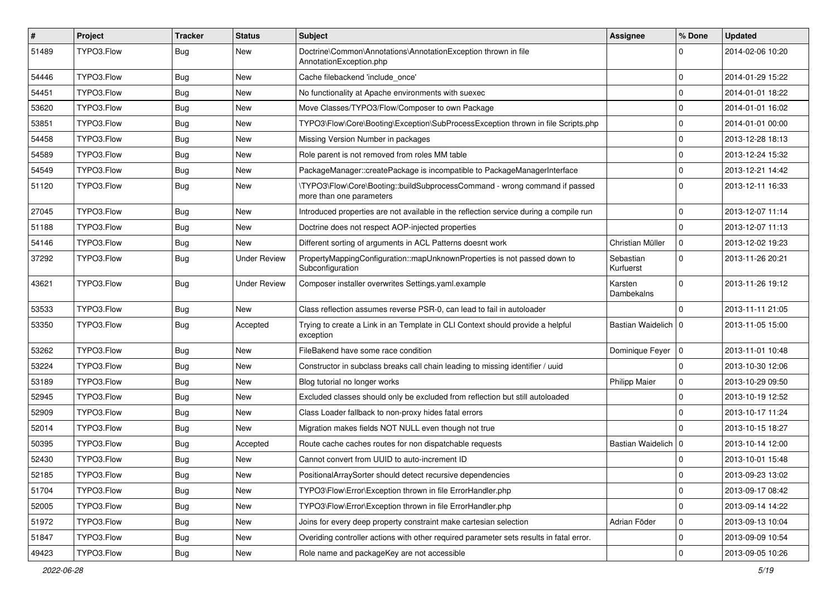| #     | Project    | <b>Tracker</b> | <b>Status</b>       | Subject                                                                                                | <b>Assignee</b>        | % Done      | <b>Updated</b>   |
|-------|------------|----------------|---------------------|--------------------------------------------------------------------------------------------------------|------------------------|-------------|------------------|
| 51489 | TYPO3.Flow | Bug            | New                 | Doctrine\Common\Annotations\AnnotationException thrown in file<br>AnnotationException.php              |                        | $\Omega$    | 2014-02-06 10:20 |
| 54446 | TYPO3.Flow | Bug            | New                 | Cache filebackend 'include_once'                                                                       |                        | $\mathbf 0$ | 2014-01-29 15:22 |
| 54451 | TYPO3.Flow | <b>Bug</b>     | New                 | No functionality at Apache environments with suexec                                                    |                        | $\mathbf 0$ | 2014-01-01 18:22 |
| 53620 | TYPO3.Flow | Bug            | <b>New</b>          | Move Classes/TYPO3/Flow/Composer to own Package                                                        |                        | 0           | 2014-01-01 16:02 |
| 53851 | TYPO3.Flow | Bug            | New                 | TYPO3\Flow\Core\Booting\Exception\SubProcessException thrown in file Scripts.php                       |                        | $\mathbf 0$ | 2014-01-01 00:00 |
| 54458 | TYPO3.Flow | Bug            | New                 | Missing Version Number in packages                                                                     |                        | $\mathbf 0$ | 2013-12-28 18:13 |
| 54589 | TYPO3.Flow | Bug            | New                 | Role parent is not removed from roles MM table                                                         |                        | 0           | 2013-12-24 15:32 |
| 54549 | TYPO3.Flow | Bug            | New                 | PackageManager::createPackage is incompatible to PackageManagerInterface                               |                        | $\mathbf 0$ | 2013-12-21 14:42 |
| 51120 | TYPO3.Flow | <b>Bug</b>     | New                 | \TYPO3\Flow\Core\Booting::buildSubprocessCommand - wrong command if passed<br>more than one parameters |                        | $\Omega$    | 2013-12-11 16:33 |
| 27045 | TYPO3.Flow | Bug            | New                 | Introduced properties are not available in the reflection service during a compile run                 |                        | $\mathbf 0$ | 2013-12-07 11:14 |
| 51188 | TYPO3.Flow | Bug            | <b>New</b>          | Doctrine does not respect AOP-injected properties                                                      |                        | $\Omega$    | 2013-12-07 11:13 |
| 54146 | TYPO3.Flow | Bug            | New                 | Different sorting of arguments in ACL Patterns doesnt work                                             | Christian Müller       | $\mathbf 0$ | 2013-12-02 19:23 |
| 37292 | TYPO3.Flow | Bug            | <b>Under Review</b> | PropertyMappingConfiguration::mapUnknownProperties is not passed down to<br>Subconfiguration           | Sebastian<br>Kurfuerst | $\Omega$    | 2013-11-26 20:21 |
| 43621 | TYPO3.Flow | Bug            | <b>Under Review</b> | Composer installer overwrites Settings.yaml.example                                                    | Karsten<br>Dambekalns  | $\Omega$    | 2013-11-26 19:12 |
| 53533 | TYPO3.Flow | Bug            | <b>New</b>          | Class reflection assumes reverse PSR-0, can lead to fail in autoloader                                 |                        | $\Omega$    | 2013-11-11 21:05 |
| 53350 | TYPO3.Flow | <b>Bug</b>     | Accepted            | Trying to create a Link in an Template in CLI Context should provide a helpful<br>exception            | Bastian Waidelich   0  |             | 2013-11-05 15:00 |
| 53262 | TYPO3.Flow | Bug            | <b>New</b>          | FileBakend have some race condition                                                                    | Dominique Feyer   0    |             | 2013-11-01 10:48 |
| 53224 | TYPO3.Flow | Bug            | New                 | Constructor in subclass breaks call chain leading to missing identifier / uuid                         |                        | $\mathbf 0$ | 2013-10-30 12:06 |
| 53189 | TYPO3.Flow | Bug            | <b>New</b>          | Blog tutorial no longer works                                                                          | Philipp Maier          | $\mathbf 0$ | 2013-10-29 09:50 |
| 52945 | TYPO3.Flow | Bug            | New                 | Excluded classes should only be excluded from reflection but still autoloaded                          |                        | $\mathbf 0$ | 2013-10-19 12:52 |
| 52909 | TYPO3.Flow | Bug            | New                 | Class Loader fallback to non-proxy hides fatal errors                                                  |                        | $\mathbf 0$ | 2013-10-17 11:24 |
| 52014 | TYPO3.Flow | Bug            | <b>New</b>          | Migration makes fields NOT NULL even though not true                                                   |                        | $\Omega$    | 2013-10-15 18:27 |
| 50395 | TYPO3.Flow | Bug            | Accepted            | Route cache caches routes for non dispatchable requests                                                | Bastian Waidelich   0  |             | 2013-10-14 12:00 |
| 52430 | TYPO3.Flow | Bug            | New                 | Cannot convert from UUID to auto-increment ID                                                          |                        | 0           | 2013-10-01 15:48 |
| 52185 | TYPO3.Flow | Bug            | New                 | PositionalArraySorter should detect recursive dependencies                                             |                        | 0           | 2013-09-23 13:02 |
| 51704 | TYPO3.Flow | <b>Bug</b>     | New                 | TYPO3\Flow\Error\Exception thrown in file ErrorHandler.php                                             |                        | $\mathbf 0$ | 2013-09-17 08:42 |
| 52005 | TYPO3.Flow | <b>Bug</b>     | New                 | TYPO3\Flow\Error\Exception thrown in file ErrorHandler.php                                             |                        | $\mathbf 0$ | 2013-09-14 14:22 |
| 51972 | TYPO3.Flow | <b>Bug</b>     | New                 | Joins for every deep property constraint make cartesian selection                                      | Adrian Föder           | 0           | 2013-09-13 10:04 |
| 51847 | TYPO3.Flow | Bug            | New                 | Overiding controller actions with other required parameter sets results in fatal error.                |                        | 0           | 2013-09-09 10:54 |
| 49423 | TYPO3.Flow | Bug            | New                 | Role name and packageKey are not accessible                                                            |                        | $\mathbf 0$ | 2013-09-05 10:26 |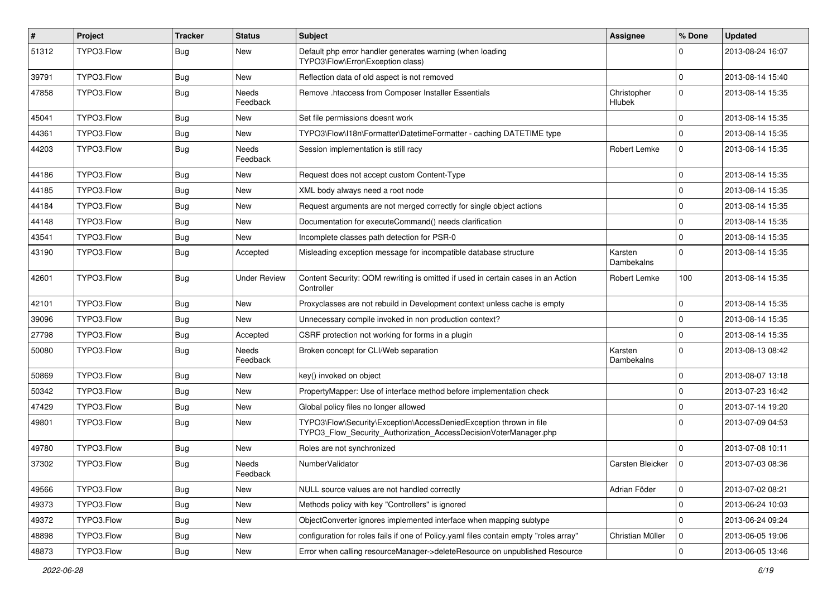| #     | Project    | <b>Tracker</b> | <b>Status</b>            | Subject                                                                                                                                | Assignee              | % Done      | <b>Updated</b>   |
|-------|------------|----------------|--------------------------|----------------------------------------------------------------------------------------------------------------------------------------|-----------------------|-------------|------------------|
| 51312 | TYPO3.Flow | Bug            | New                      | Default php error handler generates warning (when loading<br>TYPO3\Flow\Error\Exception class)                                         |                       | $\Omega$    | 2013-08-24 16:07 |
| 39791 | TYPO3.Flow | Bug            | New                      | Reflection data of old aspect is not removed                                                                                           |                       | $\mathbf 0$ | 2013-08-14 15:40 |
| 47858 | TYPO3.Flow | Bug            | Needs<br>Feedback        | Remove .htaccess from Composer Installer Essentials                                                                                    | Christopher<br>Hlubek | $\mathbf 0$ | 2013-08-14 15:35 |
| 45041 | TYPO3.Flow | Bug            | New                      | Set file permissions doesnt work                                                                                                       |                       | $\mathbf 0$ | 2013-08-14 15:35 |
| 44361 | TYPO3.Flow | Bug            | New                      | TYPO3\Flow\I18n\Formatter\DatetimeFormatter - caching DATETIME type                                                                    |                       | $\Omega$    | 2013-08-14 15:35 |
| 44203 | TYPO3.Flow | Bug            | <b>Needs</b><br>Feedback | Session implementation is still racy                                                                                                   | Robert Lemke          | 0           | 2013-08-14 15:35 |
| 44186 | TYPO3.Flow | Bug            | <b>New</b>               | Request does not accept custom Content-Type                                                                                            |                       | $\mathbf 0$ | 2013-08-14 15:35 |
| 44185 | TYPO3.Flow | Bug            | New                      | XML body always need a root node                                                                                                       |                       | $\mathbf 0$ | 2013-08-14 15:35 |
| 44184 | TYPO3.Flow | Bug            | New                      | Request arguments are not merged correctly for single object actions                                                                   |                       | $\mathbf 0$ | 2013-08-14 15:35 |
| 44148 | TYPO3.Flow | Bug            | <b>New</b>               | Documentation for executeCommand() needs clarification                                                                                 |                       | $\mathbf 0$ | 2013-08-14 15:35 |
| 43541 | TYPO3.Flow | Bug            | New                      | Incomplete classes path detection for PSR-0                                                                                            |                       | $\mathbf 0$ | 2013-08-14 15:35 |
| 43190 | TYPO3.Flow | Bug            | Accepted                 | Misleading exception message for incompatible database structure                                                                       | Karsten<br>Dambekalns | $\Omega$    | 2013-08-14 15:35 |
| 42601 | TYPO3.Flow | Bug            | <b>Under Review</b>      | Content Security: QOM rewriting is omitted if used in certain cases in an Action<br>Controller                                         | Robert Lemke          | 100         | 2013-08-14 15:35 |
| 42101 | TYPO3.Flow | Bug            | New                      | Proxyclasses are not rebuild in Development context unless cache is empty                                                              |                       | $\mathbf 0$ | 2013-08-14 15:35 |
| 39096 | TYPO3.Flow | Bug            | New                      | Unnecessary compile invoked in non production context?                                                                                 |                       | 0           | 2013-08-14 15:35 |
| 27798 | TYPO3.Flow | Bug            | Accepted                 | CSRF protection not working for forms in a plugin                                                                                      |                       | $\Omega$    | 2013-08-14 15:35 |
| 50080 | TYPO3.Flow | <b>Bug</b>     | Needs<br>Feedback        | Broken concept for CLI/Web separation                                                                                                  | Karsten<br>Dambekalns | $\mathbf 0$ | 2013-08-13 08:42 |
| 50869 | TYPO3.Flow | Bug            | New                      | key() invoked on object                                                                                                                |                       | $\mathbf 0$ | 2013-08-07 13:18 |
| 50342 | TYPO3.Flow | Bug            | New                      | PropertyMapper: Use of interface method before implementation check                                                                    |                       | $\Omega$    | 2013-07-23 16:42 |
| 47429 | TYPO3.Flow | <b>Bug</b>     | New                      | Global policy files no longer allowed                                                                                                  |                       | 0           | 2013-07-14 19:20 |
| 49801 | TYPO3.Flow | Bug            | New                      | TYPO3\Flow\Security\Exception\AccessDeniedException thrown in file<br>TYPO3_Flow_Security_Authorization_AccessDecisionVoterManager.php |                       | $\mathbf 0$ | 2013-07-09 04:53 |
| 49780 | TYPO3.Flow | Bug            | <b>New</b>               | Roles are not synchronized                                                                                                             |                       | 0           | 2013-07-08 10:11 |
| 37302 | TYPO3.Flow | <b>Bug</b>     | Needs<br>Feedback        | NumberValidator                                                                                                                        | Carsten Bleicker      | 0           | 2013-07-03 08:36 |
| 49566 | TYPO3.Flow | Bug            | New                      | NULL source values are not handled correctly                                                                                           | Adrian Föder          | $\mathbf 0$ | 2013-07-02 08:21 |
| 49373 | TYPO3.Flow | <b>Bug</b>     | New                      | Methods policy with key "Controllers" is ignored                                                                                       |                       | $\mathbf 0$ | 2013-06-24 10:03 |
| 49372 | TYPO3.Flow | Bug            | New                      | ObjectConverter ignores implemented interface when mapping subtype                                                                     |                       | $\mathbf 0$ | 2013-06-24 09:24 |
| 48898 | TYPO3.Flow | Bug            | New                      | configuration for roles fails if one of Policy.yaml files contain empty "roles array"                                                  | Christian Müller      | 0           | 2013-06-05 19:06 |
| 48873 | TYPO3.Flow | <b>Bug</b>     | New                      | Error when calling resourceManager->deleteResource on unpublished Resource                                                             |                       | $\mathbf 0$ | 2013-06-05 13:46 |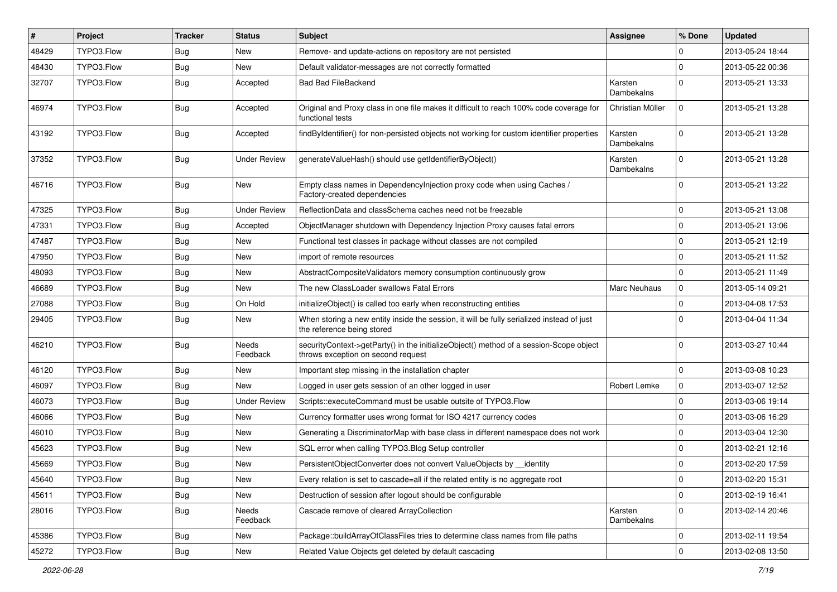| #     | Project    | <b>Tracker</b> | <b>Status</b>            | Subject                                                                                                                      | <b>Assignee</b>       | % Done      | <b>Updated</b>   |
|-------|------------|----------------|--------------------------|------------------------------------------------------------------------------------------------------------------------------|-----------------------|-------------|------------------|
| 48429 | TYPO3.Flow | Bug            | <b>New</b>               | Remove- and update-actions on repository are not persisted                                                                   |                       | 0           | 2013-05-24 18:44 |
| 48430 | TYPO3.Flow | Bug            | <b>New</b>               | Default validator-messages are not correctly formatted                                                                       |                       | $\mathbf 0$ | 2013-05-22 00:36 |
| 32707 | TYPO3.Flow | Bug            | Accepted                 | <b>Bad Bad FileBackend</b>                                                                                                   | Karsten<br>Dambekalns | $\Omega$    | 2013-05-21 13:33 |
| 46974 | TYPO3.Flow | <b>Bug</b>     | Accepted                 | Original and Proxy class in one file makes it difficult to reach 100% code coverage for<br>functional tests                  | Christian Müller      | $\mathbf 0$ | 2013-05-21 13:28 |
| 43192 | TYPO3.Flow | Bug            | Accepted                 | findByIdentifier() for non-persisted objects not working for custom identifier properties                                    | Karsten<br>Dambekalns | $\Omega$    | 2013-05-21 13:28 |
| 37352 | TYPO3.Flow | Bug            | <b>Under Review</b>      | generateValueHash() should use getIdentifierByObject()                                                                       | Karsten<br>Dambekalns | $\Omega$    | 2013-05-21 13:28 |
| 46716 | TYPO3.Flow | Bug            | New                      | Empty class names in DependencyInjection proxy code when using Caches /<br>Factory-created dependencies                      |                       | $\Omega$    | 2013-05-21 13:22 |
| 47325 | TYPO3.Flow | <b>Bug</b>     | <b>Under Review</b>      | ReflectionData and classSchema caches need not be freezable                                                                  |                       | $\mathbf 0$ | 2013-05-21 13:08 |
| 47331 | TYPO3.Flow | Bug            | Accepted                 | ObjectManager shutdown with Dependency Injection Proxy causes fatal errors                                                   |                       | $\mathbf 0$ | 2013-05-21 13:06 |
| 47487 | TYPO3.Flow | <b>Bug</b>     | New                      | Functional test classes in package without classes are not compiled                                                          |                       | $\mathbf 0$ | 2013-05-21 12:19 |
| 47950 | TYPO3.Flow | <b>Bug</b>     | <b>New</b>               | import of remote resources                                                                                                   |                       | $\mathbf 0$ | 2013-05-21 11:52 |
| 48093 | TYPO3.Flow | Bug            | New                      | AbstractCompositeValidators memory consumption continuously grow                                                             |                       | $\mathbf 0$ | 2013-05-21 11:49 |
| 46689 | TYPO3.Flow | Bug            | <b>New</b>               | The new ClassLoader swallows Fatal Errors                                                                                    | Marc Neuhaus          | $\mathbf 0$ | 2013-05-14 09:21 |
| 27088 | TYPO3.Flow | Bug            | On Hold                  | initializeObject() is called too early when reconstructing entities                                                          |                       | $\mathbf 0$ | 2013-04-08 17:53 |
| 29405 | TYPO3.Flow | Bug            | New                      | When storing a new entity inside the session, it will be fully serialized instead of just<br>the reference being stored      |                       | $\Omega$    | 2013-04-04 11:34 |
| 46210 | TYPO3.Flow | Bug            | <b>Needs</b><br>Feedback | securityContext->getParty() in the initializeObject() method of a session-Scope object<br>throws exception on second request |                       | $\Omega$    | 2013-03-27 10:44 |
| 46120 | TYPO3.Flow | Bug            | <b>New</b>               | Important step missing in the installation chapter                                                                           |                       | $\mathbf 0$ | 2013-03-08 10:23 |
| 46097 | TYPO3.Flow | Bug            | New                      | Logged in user gets session of an other logged in user                                                                       | Robert Lemke          | $\mathbf 0$ | 2013-03-07 12:52 |
| 46073 | TYPO3.Flow | Bug            | <b>Under Review</b>      | Scripts::executeCommand must be usable outsite of TYPO3.Flow                                                                 |                       | $\mathbf 0$ | 2013-03-06 19:14 |
| 46066 | TYPO3.Flow | Bug            | New                      | Currency formatter uses wrong format for ISO 4217 currency codes                                                             |                       | $\mathbf 0$ | 2013-03-06 16:29 |
| 46010 | TYPO3.Flow | Bug            | <b>New</b>               | Generating a DiscriminatorMap with base class in different namespace does not work                                           |                       | $\mathbf 0$ | 2013-03-04 12:30 |
| 45623 | TYPO3.Flow | Bug            | New                      | SQL error when calling TYPO3.Blog Setup controller                                                                           |                       | 0           | 2013-02-21 12:16 |
| 45669 | TYPO3.Flow | Bug            | New                      | PersistentObjectConverter does not convert ValueObjects by __identity                                                        |                       | $\Omega$    | 2013-02-20 17:59 |
| 45640 | TYPO3.Flow | Bug            | <b>New</b>               | Every relation is set to cascade=all if the related entity is no aggregate root                                              |                       | $\pmb{0}$   | 2013-02-20 15:31 |
| 45611 | TYPO3.Flow | Bug            | New                      | Destruction of session after logout should be configurable                                                                   |                       | $\mathbf 0$ | 2013-02-19 16:41 |
| 28016 | TYPO3.Flow | <b>Bug</b>     | Needs<br>Feedback        | Cascade remove of cleared ArrayCollection                                                                                    | Karsten<br>Dambekalns | $\mathbf 0$ | 2013-02-14 20:46 |
| 45386 | TYPO3.Flow | Bug            | New                      | Package::buildArrayOfClassFiles tries to determine class names from file paths                                               |                       | 0           | 2013-02-11 19:54 |
| 45272 | TYPO3.Flow | Bug            | New                      | Related Value Objects get deleted by default cascading                                                                       |                       | $\pmb{0}$   | 2013-02-08 13:50 |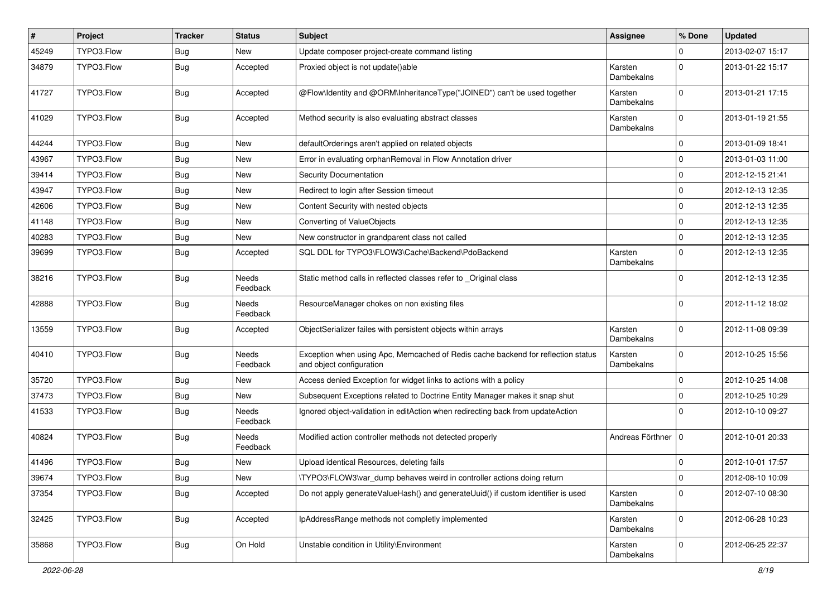| $\vert$ # | Project    | <b>Tracker</b> | <b>Status</b>            | Subject                                                                                                      | Assignee              | % Done      | <b>Updated</b>   |
|-----------|------------|----------------|--------------------------|--------------------------------------------------------------------------------------------------------------|-----------------------|-------------|------------------|
| 45249     | TYPO3.Flow | Bug            | New                      | Update composer project-create command listing                                                               |                       | 0           | 2013-02-07 15:17 |
| 34879     | TYPO3.Flow | Bug            | Accepted                 | Proxied object is not update()able                                                                           | Karsten<br>Dambekalns | 0           | 2013-01-22 15:17 |
| 41727     | TYPO3.Flow | Bug            | Accepted                 | @Flow\Identity and @ORM\InheritanceType("JOINED") can't be used together                                     | Karsten<br>Dambekalns | $\Omega$    | 2013-01-21 17:15 |
| 41029     | TYPO3.Flow | Bug            | Accepted                 | Method security is also evaluating abstract classes                                                          | Karsten<br>Dambekalns | $\mathbf 0$ | 2013-01-19 21:55 |
| 44244     | TYPO3.Flow | Bug            | <b>New</b>               | defaultOrderings aren't applied on related objects                                                           |                       | 0           | 2013-01-09 18:41 |
| 43967     | TYPO3.Flow | Bug            | New                      | Error in evaluating orphanRemoval in Flow Annotation driver                                                  |                       | 0           | 2013-01-03 11:00 |
| 39414     | TYPO3.Flow | Bug            | <b>New</b>               | Security Documentation                                                                                       |                       | $\mathbf 0$ | 2012-12-15 21:41 |
| 43947     | TYPO3.Flow | Bug            | New                      | Redirect to login after Session timeout                                                                      |                       | $\mathbf 0$ | 2012-12-13 12:35 |
| 42606     | TYPO3.Flow | Bug            | <b>New</b>               | Content Security with nested objects                                                                         |                       | 0           | 2012-12-13 12:35 |
| 41148     | TYPO3.Flow | Bug            | <b>New</b>               | Converting of ValueObjects                                                                                   |                       | $\mathbf 0$ | 2012-12-13 12:35 |
| 40283     | TYPO3.Flow | Bug            | New                      | New constructor in grandparent class not called                                                              |                       | $\mathbf 0$ | 2012-12-13 12:35 |
| 39699     | TYPO3.Flow | Bug            | Accepted                 | SQL DDL for TYPO3\FLOW3\Cache\Backend\PdoBackend                                                             | Karsten<br>Dambekalns | $\Omega$    | 2012-12-13 12:35 |
| 38216     | TYPO3.Flow | Bug            | <b>Needs</b><br>Feedback | Static method calls in reflected classes refer to _Original class                                            |                       | $\Omega$    | 2012-12-13 12:35 |
| 42888     | TYPO3.Flow | Bug            | Needs<br>Feedback        | ResourceManager chokes on non existing files                                                                 |                       | $\Omega$    | 2012-11-12 18:02 |
| 13559     | TYPO3.Flow | <b>Bug</b>     | Accepted                 | ObjectSerializer failes with persistent objects within arrays                                                | Karsten<br>Dambekalns | $\mathbf 0$ | 2012-11-08 09:39 |
| 40410     | TYPO3.Flow | Bug            | Needs<br>Feedback        | Exception when using Apc, Memcached of Redis cache backend for reflection status<br>and object configuration | Karsten<br>Dambekalns | $\mathbf 0$ | 2012-10-25 15:56 |
| 35720     | TYPO3.Flow | <b>Bug</b>     | New                      | Access denied Exception for widget links to actions with a policy                                            |                       | 0           | 2012-10-25 14:08 |
| 37473     | TYPO3.Flow | Bug            | <b>New</b>               | Subsequent Exceptions related to Doctrine Entity Manager makes it snap shut                                  |                       | $\mathbf 0$ | 2012-10-25 10:29 |
| 41533     | TYPO3.Flow | Bug            | Needs<br>Feedback        | Ignored object-validation in editAction when redirecting back from updateAction                              |                       | $\mathbf 0$ | 2012-10-10 09:27 |
| 40824     | TYPO3.Flow | <b>Bug</b>     | <b>Needs</b><br>Feedback | Modified action controller methods not detected properly                                                     | Andreas Förthner   0  |             | 2012-10-01 20:33 |
| 41496     | TYPO3.Flow | Bug            | New                      | Upload identical Resources, deleting fails                                                                   |                       | $\mathbf 0$ | 2012-10-01 17:57 |
| 39674     | TYPO3.Flow | Bug            | New                      | \TYPO3\FLOW3\var_dump behaves weird in controller actions doing return                                       |                       | 0           | 2012-08-10 10:09 |
| 37354     | TYPO3.Flow | <b>Bug</b>     | Accepted                 | Do not apply generateValueHash() and generateUuid() if custom identifier is used                             | Karsten<br>Dambekalns | $\mathbf 0$ | 2012-07-10 08:30 |
| 32425     | TYPO3.Flow | Bug            | Accepted                 | IpAddressRange methods not completly implemented                                                             | Karsten<br>Dambekalns | $\mathbf 0$ | 2012-06-28 10:23 |
| 35868     | TYPO3.Flow | <b>Bug</b>     | On Hold                  | Unstable condition in Utility\Environment                                                                    | Karsten<br>Dambekalns | $\mathbf 0$ | 2012-06-25 22:37 |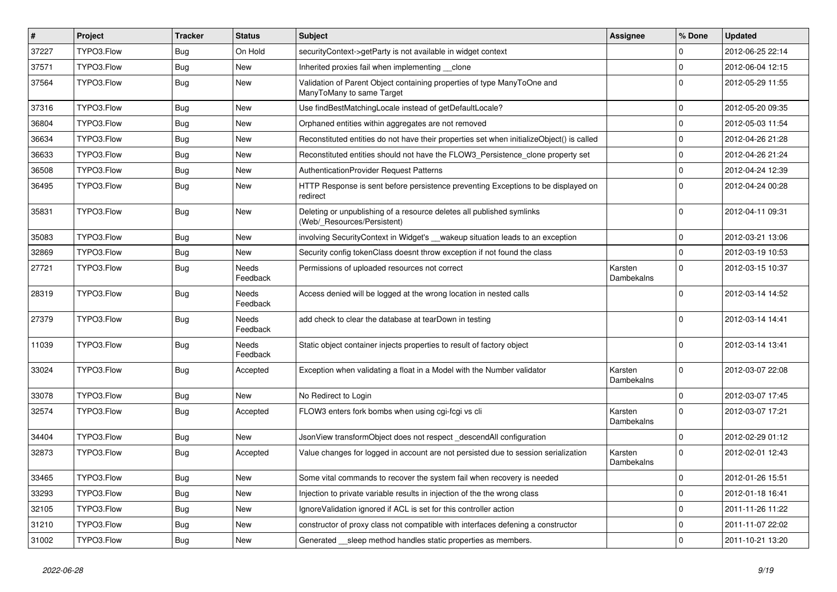| $\vert$ # | Project    | <b>Tracker</b> | <b>Status</b>            | Subject                                                                                              | <b>Assignee</b>       | % Done      | <b>Updated</b>   |
|-----------|------------|----------------|--------------------------|------------------------------------------------------------------------------------------------------|-----------------------|-------------|------------------|
| 37227     | TYPO3.Flow | Bug            | On Hold                  | securityContext->getParty is not available in widget context                                         |                       | 0           | 2012-06-25 22:14 |
| 37571     | TYPO3.Flow | Bug            | <b>New</b>               | Inherited proxies fail when implementing clone                                                       |                       | $\mathbf 0$ | 2012-06-04 12:15 |
| 37564     | TYPO3.Flow | Bug            | New                      | Validation of Parent Object containing properties of type ManyToOne and<br>ManyToMany to same Target |                       | $\Omega$    | 2012-05-29 11:55 |
| 37316     | TYPO3.Flow | Bug            | <b>New</b>               | Use findBestMatchingLocale instead of getDefaultLocale?                                              |                       | $\mathbf 0$ | 2012-05-20 09:35 |
| 36804     | TYPO3.Flow | Bug            | New                      | Orphaned entities within aggregates are not removed                                                  |                       | $\mathbf 0$ | 2012-05-03 11:54 |
| 36634     | TYPO3.Flow | Bug            | New                      | Reconstituted entities do not have their properties set when initializeObject() is called            |                       | $\mathbf 0$ | 2012-04-26 21:28 |
| 36633     | TYPO3.Flow | Bug            | New                      | Reconstituted entities should not have the FLOW3_Persistence_clone property set                      |                       | $\mathbf 0$ | 2012-04-26 21:24 |
| 36508     | TYPO3.Flow | Bug            | New                      | AuthenticationProvider Request Patterns                                                              |                       | $\mathbf 0$ | 2012-04-24 12:39 |
| 36495     | TYPO3.Flow | Bug            | New                      | HTTP Response is sent before persistence preventing Exceptions to be displayed on<br>redirect        |                       | $\Omega$    | 2012-04-24 00:28 |
| 35831     | TYPO3.Flow | <b>Bug</b>     | New                      | Deleting or unpublishing of a resource deletes all published symlinks<br>(Web/_Resources/Persistent) |                       | $\Omega$    | 2012-04-11 09:31 |
| 35083     | TYPO3.Flow | Bug            | <b>New</b>               | involving SecurityContext in Widget's __wakeup situation leads to an exception                       |                       | $\mathbf 0$ | 2012-03-21 13:06 |
| 32869     | TYPO3.Flow | Bug            | New                      | Security config tokenClass doesnt throw exception if not found the class                             |                       | $\mathbf 0$ | 2012-03-19 10:53 |
| 27721     | TYPO3.Flow | Bug            | Needs<br>Feedback        | Permissions of uploaded resources not correct                                                        | Karsten<br>Dambekalns | $\Omega$    | 2012-03-15 10:37 |
| 28319     | TYPO3.Flow | <b>Bug</b>     | <b>Needs</b><br>Feedback | Access denied will be logged at the wrong location in nested calls                                   |                       | $\Omega$    | 2012-03-14 14:52 |
| 27379     | TYPO3.Flow | <b>Bug</b>     | Needs<br>Feedback        | add check to clear the database at tearDown in testing                                               |                       | $\Omega$    | 2012-03-14 14:41 |
| 11039     | TYPO3.Flow | Bug            | Needs<br>Feedback        | Static object container injects properties to result of factory object                               |                       | $\Omega$    | 2012-03-14 13:41 |
| 33024     | TYPO3.Flow | <b>Bug</b>     | Accepted                 | Exception when validating a float in a Model with the Number validator                               | Karsten<br>Dambekalns | $\Omega$    | 2012-03-07 22:08 |
| 33078     | TYPO3.Flow | Bug            | New                      | No Redirect to Login                                                                                 |                       | $\mathbf 0$ | 2012-03-07 17:45 |
| 32574     | TYPO3.Flow | Bug            | Accepted                 | FLOW3 enters fork bombs when using cgi-fcgi vs cli                                                   | Karsten<br>Dambekalns | $\Omega$    | 2012-03-07 17:21 |
| 34404     | TYPO3.Flow | <b>Bug</b>     | <b>New</b>               | JsonView transformObject does not respect_descendAll configuration                                   |                       | $\mathbf 0$ | 2012-02-29 01:12 |
| 32873     | TYPO3.Flow | Bug            | Accepted                 | Value changes for logged in account are not persisted due to session serialization                   | Karsten<br>Dambekalns | $\Omega$    | 2012-02-01 12:43 |
| 33465     | TYPO3.Flow | Bug            | <b>New</b>               | Some vital commands to recover the system fail when recovery is needed                               |                       | 0           | 2012-01-26 15:51 |
| 33293     | TYPO3.Flow | <b>Bug</b>     | New                      | Injection to private variable results in injection of the the wrong class                            |                       | $\mathbf 0$ | 2012-01-18 16:41 |
| 32105     | TYPO3.Flow | <b>Bug</b>     | New                      | IgnoreValidation ignored if ACL is set for this controller action                                    |                       | $\mathbf 0$ | 2011-11-26 11:22 |
| 31210     | TYPO3.Flow | Bug            | New                      | constructor of proxy class not compatible with interfaces defening a constructor                     |                       | 0           | 2011-11-07 22:02 |
| 31002     | TYPO3.Flow | <b>Bug</b>     | New                      | Generated __sleep method handles static properties as members.                                       |                       | $\mathbf 0$ | 2011-10-21 13:20 |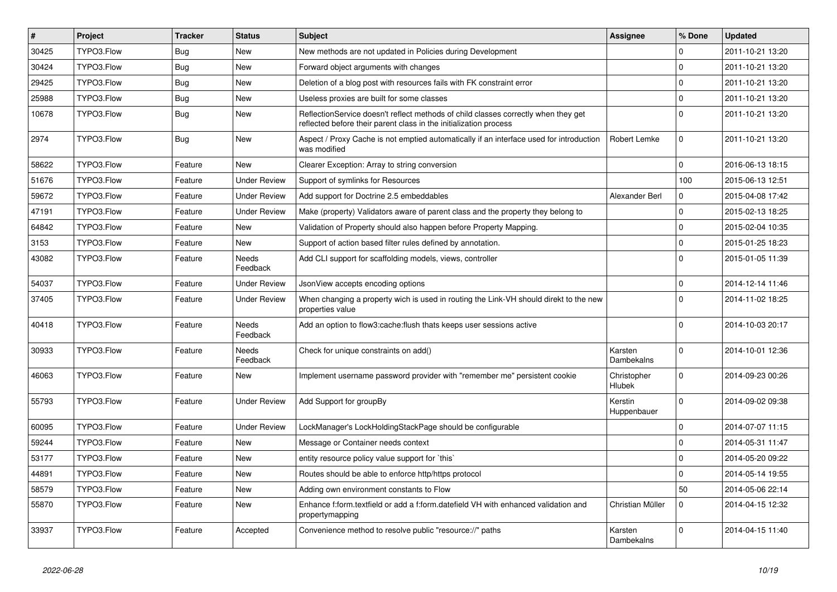| #     | Project    | <b>Tracker</b> | <b>Status</b>            | <b>Subject</b>                                                                                                                                          | Assignee                     | % Done      | <b>Updated</b>   |
|-------|------------|----------------|--------------------------|---------------------------------------------------------------------------------------------------------------------------------------------------------|------------------------------|-------------|------------------|
| 30425 | TYPO3.Flow | <b>Bug</b>     | New                      | New methods are not updated in Policies during Development                                                                                              |                              | $\Omega$    | 2011-10-21 13:20 |
| 30424 | TYPO3.Flow | Bug            | New                      | Forward object arguments with changes                                                                                                                   |                              | 0           | 2011-10-21 13:20 |
| 29425 | TYPO3.Flow | Bug            | New                      | Deletion of a blog post with resources fails with FK constraint error                                                                                   |                              | $\mathbf 0$ | 2011-10-21 13:20 |
| 25988 | TYPO3.Flow | Bug            | New                      | Useless proxies are built for some classes                                                                                                              |                              | $\mathbf 0$ | 2011-10-21 13:20 |
| 10678 | TYPO3.Flow | Bug            | New                      | ReflectionService doesn't reflect methods of child classes correctly when they get<br>reflected before their parent class in the initialization process |                              | $\Omega$    | 2011-10-21 13:20 |
| 2974  | TYPO3.Flow | Bug            | <b>New</b>               | Aspect / Proxy Cache is not emptied automatically if an interface used for introduction<br>was modified                                                 | Robert Lemke                 | $\mathbf 0$ | 2011-10-21 13:20 |
| 58622 | TYPO3.Flow | Feature        | <b>New</b>               | Clearer Exception: Array to string conversion                                                                                                           |                              | $\Omega$    | 2016-06-13 18:15 |
| 51676 | TYPO3.Flow | Feature        | <b>Under Review</b>      | Support of symlinks for Resources                                                                                                                       |                              | 100         | 2015-06-13 12:51 |
| 59672 | TYPO3.Flow | Feature        | <b>Under Review</b>      | Add support for Doctrine 2.5 embeddables                                                                                                                | Alexander Berl               | 0           | 2015-04-08 17:42 |
| 47191 | TYPO3.Flow | Feature        | <b>Under Review</b>      | Make (property) Validators aware of parent class and the property they belong to                                                                        |                              | $\mathbf 0$ | 2015-02-13 18:25 |
| 64842 | TYPO3.Flow | Feature        | <b>New</b>               | Validation of Property should also happen before Property Mapping.                                                                                      |                              | $\mathbf 0$ | 2015-02-04 10:35 |
| 3153  | TYPO3.Flow | Feature        | New                      | Support of action based filter rules defined by annotation.                                                                                             |                              | $\mathbf 0$ | 2015-01-25 18:23 |
| 43082 | TYPO3.Flow | Feature        | <b>Needs</b><br>Feedback | Add CLI support for scaffolding models, views, controller                                                                                               |                              | $\Omega$    | 2015-01-05 11:39 |
| 54037 | TYPO3.Flow | Feature        | <b>Under Review</b>      | JsonView accepts encoding options                                                                                                                       |                              | $\mathbf 0$ | 2014-12-14 11:46 |
| 37405 | TYPO3.Flow | Feature        | <b>Under Review</b>      | When changing a property wich is used in routing the Link-VH should direkt to the new<br>properties value                                               |                              | $\Omega$    | 2014-11-02 18:25 |
| 40418 | TYPO3.Flow | Feature        | <b>Needs</b><br>Feedback | Add an option to flow3:cache: flush thats keeps user sessions active                                                                                    |                              | $\Omega$    | 2014-10-03 20:17 |
| 30933 | TYPO3.Flow | Feature        | Needs<br>Feedback        | Check for unique constraints on add()                                                                                                                   | Karsten<br>Dambekalns        | $\Omega$    | 2014-10-01 12:36 |
| 46063 | TYPO3.Flow | Feature        | New                      | Implement username password provider with "remember me" persistent cookie                                                                               | Christopher<br><b>Hlubek</b> | $\Omega$    | 2014-09-23 00:26 |
| 55793 | TYPO3.Flow | Feature        | <b>Under Review</b>      | Add Support for groupBy                                                                                                                                 | Kerstin<br>Huppenbauer       | $\Omega$    | 2014-09-02 09:38 |
| 60095 | TYPO3.Flow | Feature        | <b>Under Review</b>      | LockManager's LockHoldingStackPage should be configurable                                                                                               |                              | $\Omega$    | 2014-07-07 11:15 |
| 59244 | TYPO3.Flow | Feature        | New                      | Message or Container needs context                                                                                                                      |                              | 0           | 2014-05-31 11:47 |
| 53177 | TYPO3.Flow | Feature        | New                      | entity resource policy value support for `this`                                                                                                         |                              | $\mathbf 0$ | 2014-05-20 09:22 |
| 44891 | TYPO3.Flow | Feature        | New                      | Routes should be able to enforce http/https protocol                                                                                                    |                              | 0           | 2014-05-14 19:55 |
| 58579 | TYPO3.Flow | Feature        | New                      | Adding own environment constants to Flow                                                                                                                |                              | 50          | 2014-05-06 22:14 |
| 55870 | TYPO3.Flow | Feature        | New                      | Enhance f:form.textfield or add a f:form.datefield VH with enhanced validation and<br>propertymapping                                                   | Christian Müller             | 0           | 2014-04-15 12:32 |
| 33937 | TYPO3.Flow | Feature        | Accepted                 | Convenience method to resolve public "resource://" paths                                                                                                | Karsten<br>Dambekalns        | 0           | 2014-04-15 11:40 |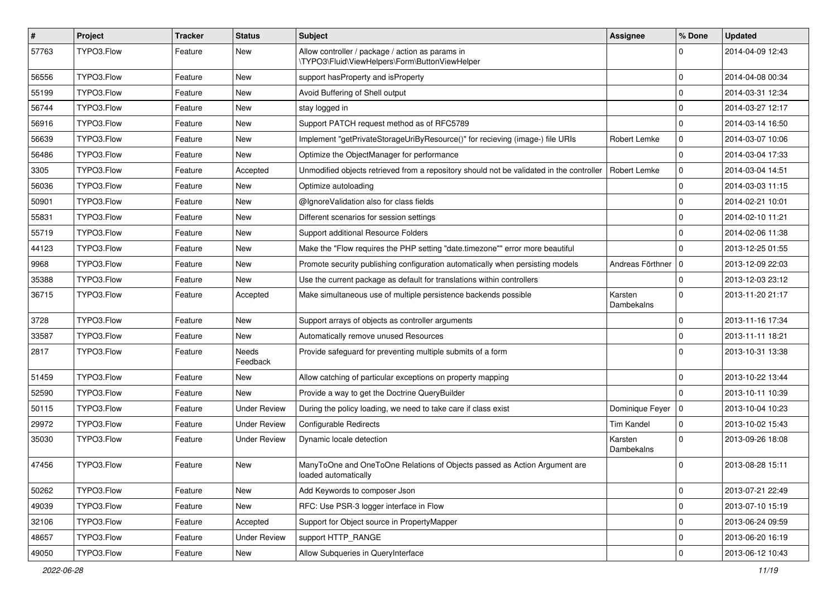| $\vert$ # | Project    | Tracker | <b>Status</b>       | <b>Subject</b>                                                                                     | <b>Assignee</b>              | % Done              | <b>Updated</b>   |
|-----------|------------|---------|---------------------|----------------------------------------------------------------------------------------------------|------------------------------|---------------------|------------------|
| 57763     | TYPO3.Flow | Feature | New                 | Allow controller / package / action as params in<br>\TYPO3\Fluid\ViewHelpers\Form\ButtonViewHelper |                              | $\Omega$            | 2014-04-09 12:43 |
| 56556     | TYPO3.Flow | Feature | New                 | support hasProperty and isProperty                                                                 |                              | $\Omega$            | 2014-04-08 00:34 |
| 55199     | TYPO3.Flow | Feature | New                 | Avoid Buffering of Shell output                                                                    |                              | $\mathbf 0$         | 2014-03-31 12:34 |
| 56744     | TYPO3.Flow | Feature | New                 | stay logged in                                                                                     |                              | $\mathbf 0$         | 2014-03-27 12:17 |
| 56916     | TYPO3.Flow | Feature | New                 | Support PATCH request method as of RFC5789                                                         |                              | $\mathbf 0$         | 2014-03-14 16:50 |
| 56639     | TYPO3.Flow | Feature | New                 | Implement "getPrivateStorageUriByResource()" for recieving (image-) file URIs                      | Robert Lemke                 | $\mathbf 0$         | 2014-03-07 10:06 |
| 56486     | TYPO3.Flow | Feature | New                 | Optimize the ObjectManager for performance                                                         |                              | $\mathbf 0$         | 2014-03-04 17:33 |
| 3305      | TYPO3.Flow | Feature | Accepted            | Unmodified objects retrieved from a repository should not be validated in the controller           | Robert Lemke                 | $\mathbf 0$         | 2014-03-04 14:51 |
| 56036     | TYPO3.Flow | Feature | New                 | Optimize autoloading                                                                               |                              | $\mathbf 0$         | 2014-03-03 11:15 |
| 50901     | TYPO3.Flow | Feature | New                 | @IgnoreValidation also for class fields                                                            |                              | $\mathbf 0$         | 2014-02-21 10:01 |
| 55831     | TYPO3.Flow | Feature | New                 | Different scenarios for session settings                                                           |                              | $\Omega$            | 2014-02-10 11:21 |
| 55719     | TYPO3.Flow | Feature | New                 | Support additional Resource Folders                                                                |                              | $\mathbf 0$         | 2014-02-06 11:38 |
| 44123     | TYPO3.Flow | Feature | New                 | Make the "Flow requires the PHP setting "date.timezone"" error more beautiful                      |                              | $\Omega$            | 2013-12-25 01:55 |
| 9968      | TYPO3.Flow | Feature | New                 | Promote security publishing configuration automatically when persisting models                     | Andreas Förthner             | ١o                  | 2013-12-09 22:03 |
| 35388     | TYPO3.Flow | Feature | New                 | Use the current package as default for translations within controllers                             |                              | $\mathbf 0$         | 2013-12-03 23:12 |
| 36715     | TYPO3.Flow | Feature | Accepted            | Make simultaneous use of multiple persistence backends possible                                    | Karsten<br>Dambekalns        | $\Omega$            | 2013-11-20 21:17 |
| 3728      | TYPO3.Flow | Feature | New                 | Support arrays of objects as controller arguments                                                  |                              | $\Omega$            | 2013-11-16 17:34 |
| 33587     | TYPO3.Flow | Feature | New                 | Automatically remove unused Resources                                                              |                              | $\mathbf 0$         | 2013-11-11 18:21 |
| 2817      | TYPO3.Flow | Feature | Needs<br>Feedback   | Provide safeguard for preventing multiple submits of a form                                        |                              | $\Omega$            | 2013-10-31 13:38 |
| 51459     | TYPO3.Flow | Feature | New                 | Allow catching of particular exceptions on property mapping                                        |                              | $\mathbf 0$         | 2013-10-22 13:44 |
| 52590     | TYPO3.Flow | Feature | New                 | Provide a way to get the Doctrine QueryBuilder                                                     |                              | $\Omega$            | 2013-10-11 10:39 |
| 50115     | TYPO3.Flow | Feature | <b>Under Review</b> | During the policy loading, we need to take care if class exist                                     | Dominique Feyer              | ۱٥                  | 2013-10-04 10:23 |
| 29972     | TYPO3.Flow | Feature | <b>Under Review</b> | <b>Configurable Redirects</b>                                                                      | <b>Tim Kandel</b>            | $\mathbf 0$         | 2013-10-02 15:43 |
| 35030     | TYPO3.Flow | Feature | <b>Under Review</b> | Dynamic locale detection                                                                           | Karsten<br><b>Dambekalns</b> | $\Omega$            | 2013-09-26 18:08 |
| 47456     | TYPO3.Flow | Feature | New                 | ManyToOne and OneToOne Relations of Objects passed as Action Argument are<br>loaded automatically  |                              | $\mathbf 0$         | 2013-08-28 15:11 |
| 50262     | TYPO3.Flow | Feature | <b>New</b>          | Add Keywords to composer Json                                                                      |                              | $\mathsf{O}\xspace$ | 2013-07-21 22:49 |
| 49039     | TYPO3.Flow | Feature | New                 | RFC: Use PSR-3 logger interface in Flow                                                            |                              | $\mathsf 0$         | 2013-07-10 15:19 |
| 32106     | TYPO3.Flow | Feature | Accepted            | Support for Object source in PropertyMapper                                                        |                              | $\mathbf 0$         | 2013-06-24 09:59 |
| 48657     | TYPO3.Flow | Feature | <b>Under Review</b> | support HTTP_RANGE                                                                                 |                              | 0                   | 2013-06-20 16:19 |
| 49050     | TYPO3.Flow | Feature | New                 | Allow Subqueries in QueryInterface                                                                 |                              | $\mathsf{O}\xspace$ | 2013-06-12 10:43 |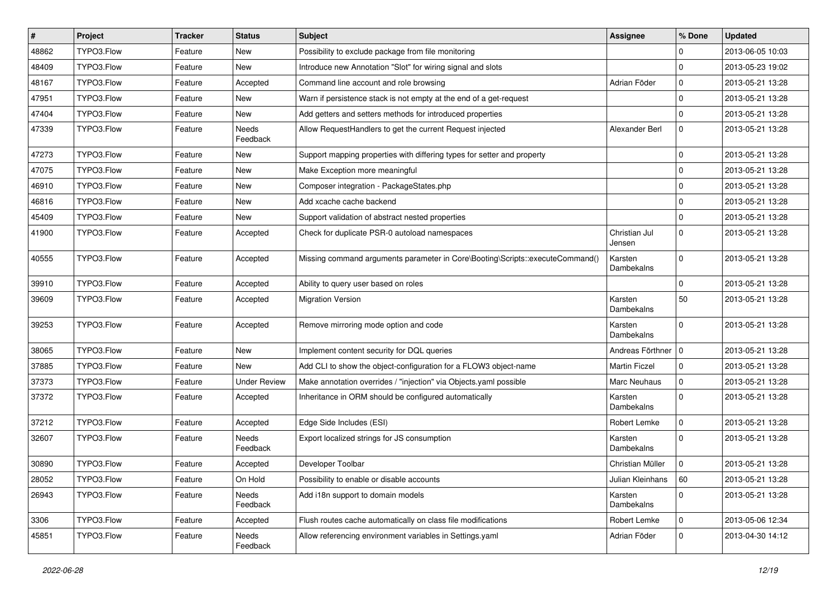| $\vert$ # | Project    | Tracker | <b>Status</b>            | <b>Subject</b>                                                                | <b>Assignee</b>         | % Done         | <b>Updated</b>   |
|-----------|------------|---------|--------------------------|-------------------------------------------------------------------------------|-------------------------|----------------|------------------|
| 48862     | TYPO3.Flow | Feature | New                      | Possibility to exclude package from file monitoring                           |                         | $\mathbf 0$    | 2013-06-05 10:03 |
| 48409     | TYPO3.Flow | Feature | <b>New</b>               | Introduce new Annotation "Slot" for wiring signal and slots                   |                         | $\Omega$       | 2013-05-23 19:02 |
| 48167     | TYPO3.Flow | Feature | Accepted                 | Command line account and role browsing                                        | Adrian Föder            | 0              | 2013-05-21 13:28 |
| 47951     | TYPO3.Flow | Feature | New                      | Warn if persistence stack is not empty at the end of a get-request            |                         | 0              | 2013-05-21 13:28 |
| 47404     | TYPO3.Flow | Feature | New                      | Add getters and setters methods for introduced properties                     |                         | 0              | 2013-05-21 13:28 |
| 47339     | TYPO3.Flow | Feature | <b>Needs</b><br>Feedback | Allow RequestHandlers to get the current Request injected                     | Alexander Berl          | $\mathbf 0$    | 2013-05-21 13:28 |
| 47273     | TYPO3.Flow | Feature | New                      | Support mapping properties with differing types for setter and property       |                         | 0              | 2013-05-21 13:28 |
| 47075     | TYPO3.Flow | Feature | New                      | Make Exception more meaningful                                                |                         | $\Omega$       | 2013-05-21 13:28 |
| 46910     | TYPO3.Flow | Feature | <b>New</b>               | Composer integration - PackageStates.php                                      |                         | $\mathbf 0$    | 2013-05-21 13:28 |
| 46816     | TYPO3.Flow | Feature | New                      | Add xcache cache backend                                                      |                         | $\overline{0}$ | 2013-05-21 13:28 |
| 45409     | TYPO3.Flow | Feature | New                      | Support validation of abstract nested properties                              |                         | $\overline{0}$ | 2013-05-21 13:28 |
| 41900     | TYPO3.Flow | Feature | Accepted                 | Check for duplicate PSR-0 autoload namespaces                                 | Christian Jul<br>Jensen | $\mathbf 0$    | 2013-05-21 13:28 |
| 40555     | TYPO3.Flow | Feature | Accepted                 | Missing command arguments parameter in Core\Booting\Scripts::executeCommand() | Karsten<br>Dambekalns   | $\Omega$       | 2013-05-21 13:28 |
| 39910     | TYPO3.Flow | Feature | Accepted                 | Ability to query user based on roles                                          |                         | $\Omega$       | 2013-05-21 13:28 |
| 39609     | TYPO3.Flow | Feature | Accepted                 | <b>Migration Version</b>                                                      | Karsten<br>Dambekalns   | 50             | 2013-05-21 13:28 |
| 39253     | TYPO3.Flow | Feature | Accepted                 | Remove mirroring mode option and code                                         | Karsten<br>Dambekalns   | $\Omega$       | 2013-05-21 13:28 |
| 38065     | TYPO3.Flow | Feature | New                      | Implement content security for DQL queries                                    | Andreas Förthner   0    |                | 2013-05-21 13:28 |
| 37885     | TYPO3.Flow | Feature | <b>New</b>               | Add CLI to show the object-configuration for a FLOW3 object-name              | <b>Martin Ficzel</b>    | $\overline{0}$ | 2013-05-21 13:28 |
| 37373     | TYPO3.Flow | Feature | <b>Under Review</b>      | Make annotation overrides / "injection" via Objects.yaml possible             | Marc Neuhaus            | 0              | 2013-05-21 13:28 |
| 37372     | TYPO3.Flow | Feature | Accepted                 | Inheritance in ORM should be configured automatically                         | Karsten<br>Dambekalns   | $\Omega$       | 2013-05-21 13:28 |
| 37212     | TYPO3.Flow | Feature | Accepted                 | Edge Side Includes (ESI)                                                      | Robert Lemke            | 0              | 2013-05-21 13:28 |
| 32607     | TYPO3.Flow | Feature | Needs<br>Feedback        | Export localized strings for JS consumption                                   | Karsten<br>Dambekalns   | $\Omega$       | 2013-05-21 13:28 |
| 30890     | TYPO3.Flow | Feature | Accepted                 | Developer Toolbar                                                             | Christian Müller        | $\Omega$       | 2013-05-21 13:28 |
| 28052     | TYPO3.Flow | Feature | On Hold                  | Possibility to enable or disable accounts                                     | Julian Kleinhans        | 60             | 2013-05-21 13:28 |
| 26943     | TYPO3.Flow | Feature | Needs<br>Feedback        | Add i18n support to domain models                                             | Karsten<br>Dambekalns   | 0              | 2013-05-21 13:28 |
| 3306      | TYPO3.Flow | Feature | Accepted                 | Flush routes cache automatically on class file modifications                  | Robert Lemke            | 0              | 2013-05-06 12:34 |
| 45851     | TYPO3.Flow | Feature | Needs<br>Feedback        | Allow referencing environment variables in Settings.yaml                      | Adrian Föder            | l 0            | 2013-04-30 14:12 |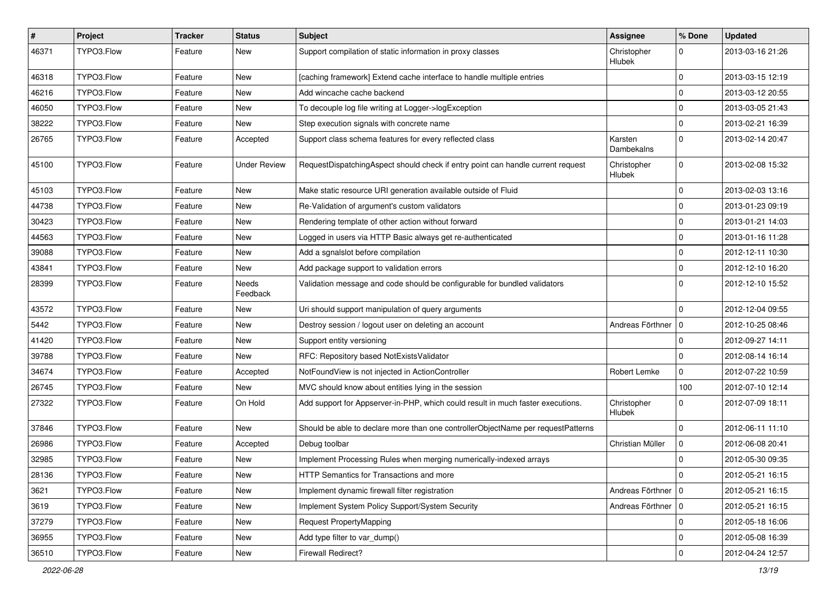| #     | Project    | <b>Tracker</b> | <b>Status</b>       | <b>Subject</b>                                                                   | Assignee              | % Done      | <b>Updated</b>   |
|-------|------------|----------------|---------------------|----------------------------------------------------------------------------------|-----------------------|-------------|------------------|
| 46371 | TYPO3.Flow | Feature        | New                 | Support compilation of static information in proxy classes                       | Christopher<br>Hlubek | $\Omega$    | 2013-03-16 21:26 |
| 46318 | TYPO3.Flow | Feature        | <b>New</b>          | [caching framework] Extend cache interface to handle multiple entries            |                       | $\mathbf 0$ | 2013-03-15 12:19 |
| 46216 | TYPO3.Flow | Feature        | New                 | Add wincache cache backend                                                       |                       | $\mathbf 0$ | 2013-03-12 20:55 |
| 46050 | TYPO3.Flow | Feature        | New                 | To decouple log file writing at Logger->logException                             |                       | $\mathbf 0$ | 2013-03-05 21:43 |
| 38222 | TYPO3.Flow | Feature        | New                 | Step execution signals with concrete name                                        |                       | $\mathbf 0$ | 2013-02-21 16:39 |
| 26765 | TYPO3.Flow | Feature        | Accepted            | Support class schema features for every reflected class                          | Karsten<br>Dambekalns | $\Omega$    | 2013-02-14 20:47 |
| 45100 | TYPO3.Flow | Feature        | <b>Under Review</b> | RequestDispatchingAspect should check if entry point can handle current request  | Christopher<br>Hlubek | $\Omega$    | 2013-02-08 15:32 |
| 45103 | TYPO3.Flow | Feature        | <b>New</b>          | Make static resource URI generation available outside of Fluid                   |                       | $\mathbf 0$ | 2013-02-03 13:16 |
| 44738 | TYPO3.Flow | Feature        | New                 | Re-Validation of argument's custom validators                                    |                       | $\mathbf 0$ | 2013-01-23 09:19 |
| 30423 | TYPO3.Flow | Feature        | New                 | Rendering template of other action without forward                               |                       | 0           | 2013-01-21 14:03 |
| 44563 | TYPO3.Flow | Feature        | New                 | Logged in users via HTTP Basic always get re-authenticated                       |                       | $\mathbf 0$ | 2013-01-16 11:28 |
| 39088 | TYPO3.Flow | Feature        | New                 | Add a sgnalslot before compilation                                               |                       | $\mathbf 0$ | 2012-12-11 10:30 |
| 43841 | TYPO3.Flow | Feature        | New                 | Add package support to validation errors                                         |                       | $\mathbf 0$ | 2012-12-10 16:20 |
| 28399 | TYPO3.Flow | Feature        | Needs<br>Feedback   | Validation message and code should be configurable for bundled validators        |                       | $\Omega$    | 2012-12-10 15:52 |
| 43572 | TYPO3.Flow | Feature        | New                 | Uri should support manipulation of query arguments                               |                       | $\Omega$    | 2012-12-04 09:55 |
| 5442  | TYPO3.Flow | Feature        | New                 | Destroy session / logout user on deleting an account                             | Andreas Förthner      | 0           | 2012-10-25 08:46 |
| 41420 | TYPO3.Flow | Feature        | New                 | Support entity versioning                                                        |                       | $\mathbf 0$ | 2012-09-27 14:11 |
| 39788 | TYPO3.Flow | Feature        | New                 | RFC: Repository based NotExistsValidator                                         |                       | $\mathbf 0$ | 2012-08-14 16:14 |
| 34674 | TYPO3.Flow | Feature        | Accepted            | NotFoundView is not injected in ActionController                                 | Robert Lemke          | $\mathbf 0$ | 2012-07-22 10:59 |
| 26745 | TYPO3.Flow | Feature        | New                 | MVC should know about entities lying in the session                              |                       | 100         | 2012-07-10 12:14 |
| 27322 | TYPO3.Flow | Feature        | On Hold             | Add support for Appserver-in-PHP, which could result in much faster executions.  | Christopher<br>Hlubek | $\mathbf 0$ | 2012-07-09 18:11 |
| 37846 | TYPO3.Flow | Feature        | <b>New</b>          | Should be able to declare more than one controllerObjectName per requestPatterns |                       | $\Omega$    | 2012-06-11 11:10 |
| 26986 | TYPO3.Flow | Feature        | Accepted            | Debug toolbar                                                                    | Christian Müller      | $\mathbf 0$ | 2012-06-08 20:41 |
| 32985 | TYPO3.Flow | Feature        | New                 | Implement Processing Rules when merging numerically-indexed arrays               |                       | 0           | 2012-05-30 09:35 |
| 28136 | TYPO3.Flow | Feature        | New                 | HTTP Semantics for Transactions and more                                         |                       | 0           | 2012-05-21 16:15 |
| 3621  | TYPO3.Flow | Feature        | New                 | Implement dynamic firewall filter registration                                   | Andreas Förthner   0  |             | 2012-05-21 16:15 |
| 3619  | TYPO3.Flow | Feature        | New                 | Implement System Policy Support/System Security                                  | Andreas Förthner   0  |             | 2012-05-21 16:15 |
| 37279 | TYPO3.Flow | Feature        | New                 | Request PropertyMapping                                                          |                       | 0           | 2012-05-18 16:06 |
| 36955 | TYPO3.Flow | Feature        | New                 | Add type filter to var_dump()                                                    |                       | $\mathbf 0$ | 2012-05-08 16:39 |
| 36510 | TYPO3.Flow | Feature        | New                 | Firewall Redirect?                                                               |                       | $\mathbf 0$ | 2012-04-24 12:57 |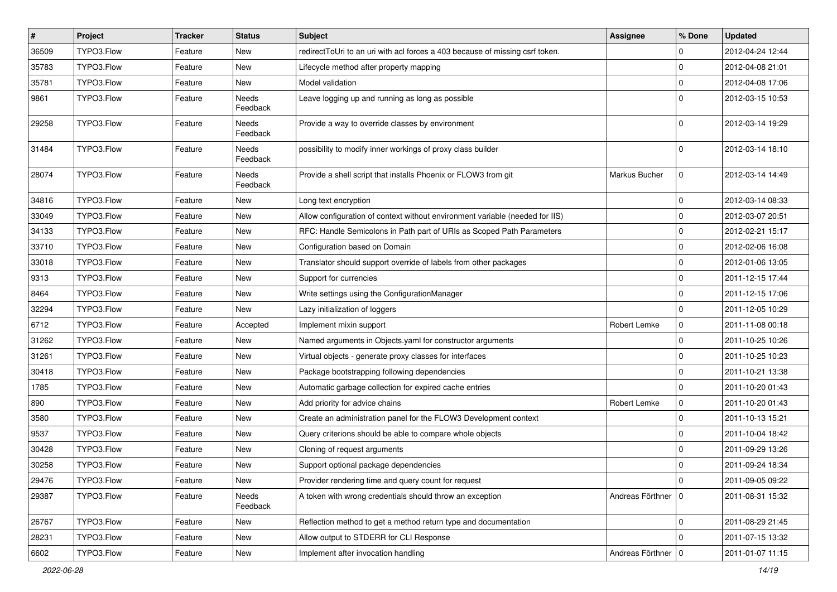| $\vert$ # | Project    | <b>Tracker</b> | <b>Status</b>            | Subject                                                                      | <b>Assignee</b>      | % Done      | <b>Updated</b>   |
|-----------|------------|----------------|--------------------------|------------------------------------------------------------------------------|----------------------|-------------|------------------|
| 36509     | TYPO3.Flow | Feature        | New                      | redirectToUri to an uri with acl forces a 403 because of missing csrf token. |                      | 0           | 2012-04-24 12:44 |
| 35783     | TYPO3.Flow | Feature        | <b>New</b>               | Lifecycle method after property mapping                                      |                      | 0           | 2012-04-08 21:01 |
| 35781     | TYPO3.Flow | Feature        | New                      | Model validation                                                             |                      | $\mathbf 0$ | 2012-04-08 17:06 |
| 9861      | TYPO3.Flow | Feature        | Needs<br>Feedback        | Leave logging up and running as long as possible                             |                      | $\Omega$    | 2012-03-15 10:53 |
| 29258     | TYPO3.Flow | Feature        | Needs<br>Feedback        | Provide a way to override classes by environment                             |                      | $\Omega$    | 2012-03-14 19:29 |
| 31484     | TYPO3.Flow | Feature        | Needs<br>Feedback        | possibility to modify inner workings of proxy class builder                  |                      | $\mathbf 0$ | 2012-03-14 18:10 |
| 28074     | TYPO3.Flow | Feature        | <b>Needs</b><br>Feedback | Provide a shell script that installs Phoenix or FLOW3 from git               | Markus Bucher        | $\mathbf 0$ | 2012-03-14 14:49 |
| 34816     | TYPO3.Flow | Feature        | <b>New</b>               | Long text encryption                                                         |                      | 0           | 2012-03-14 08:33 |
| 33049     | TYPO3.Flow | Feature        | New                      | Allow configuration of context without environment variable (needed for IIS) |                      | 0           | 2012-03-07 20:51 |
| 34133     | TYPO3.Flow | Feature        | New                      | RFC: Handle Semicolons in Path part of URIs as Scoped Path Parameters        |                      | 0           | 2012-02-21 15:17 |
| 33710     | TYPO3.Flow | Feature        | New                      | Configuration based on Domain                                                |                      | 0           | 2012-02-06 16:08 |
| 33018     | TYPO3.Flow | Feature        | New                      | Translator should support override of labels from other packages             |                      | $\mathbf 0$ | 2012-01-06 13:05 |
| 9313      | TYPO3.Flow | Feature        | New                      | Support for currencies                                                       |                      | 0           | 2011-12-15 17:44 |
| 8464      | TYPO3.Flow | Feature        | New                      | Write settings using the ConfigurationManager                                |                      | 0           | 2011-12-15 17:06 |
| 32294     | TYPO3.Flow | Feature        | New                      | Lazy initialization of loggers                                               |                      | 0           | 2011-12-05 10:29 |
| 6712      | TYPO3.Flow | Feature        | Accepted                 | Implement mixin support                                                      | Robert Lemke         | 0           | 2011-11-08 00:18 |
| 31262     | TYPO3.Flow | Feature        | New                      | Named arguments in Objects.yaml for constructor arguments                    |                      | 0           | 2011-10-25 10:26 |
| 31261     | TYPO3.Flow | Feature        | New                      | Virtual objects - generate proxy classes for interfaces                      |                      | $\mathbf 0$ | 2011-10-25 10:23 |
| 30418     | TYPO3.Flow | Feature        | New                      | Package bootstrapping following dependencies                                 |                      | $\mathbf 0$ | 2011-10-21 13:38 |
| 1785      | TYPO3.Flow | Feature        | New                      | Automatic garbage collection for expired cache entries                       |                      | 0           | 2011-10-20 01:43 |
| 890       | TYPO3.Flow | Feature        | New                      | Add priority for advice chains                                               | Robert Lemke         | 0           | 2011-10-20 01:43 |
| 3580      | TYPO3.Flow | Feature        | New                      | Create an administration panel for the FLOW3 Development context             |                      | $\mathbf 0$ | 2011-10-13 15:21 |
| 9537      | TYPO3.Flow | Feature        | New                      | Query criterions should be able to compare whole objects                     |                      | 0           | 2011-10-04 18:42 |
| 30428     | TYPO3.Flow | Feature        | New                      | Cloning of request arguments                                                 |                      | $\mathbf 0$ | 2011-09-29 13:26 |
| 30258     | TYPO3.Flow | Feature        | New                      | Support optional package dependencies                                        |                      | 0           | 2011-09-24 18:34 |
| 29476     | TYPO3.Flow | Feature        | New                      | Provider rendering time and query count for request                          |                      | 0           | 2011-09-05 09:22 |
| 29387     | TYPO3.Flow | Feature        | Needs<br>Feedback        | A token with wrong credentials should throw an exception                     | Andreas Förthner   0 |             | 2011-08-31 15:32 |
| 26767     | TYPO3.Flow | Feature        | New                      | Reflection method to get a method return type and documentation              |                      | 0           | 2011-08-29 21:45 |
| 28231     | TYPO3.Flow | Feature        | New                      | Allow output to STDERR for CLI Response                                      |                      | 0           | 2011-07-15 13:32 |
| 6602      | TYPO3.Flow | Feature        | New                      | Implement after invocation handling                                          | Andreas Förthner   0 |             | 2011-01-07 11:15 |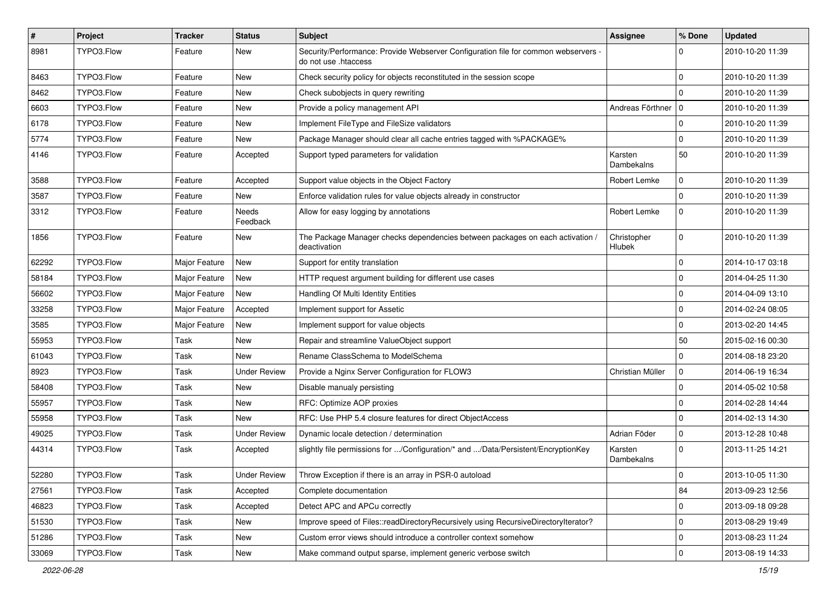| $\pmb{\#}$ | <b>Project</b> | Tracker       | <b>Status</b>       | Subject                                                                                                    | Assignee                     | % Done      | <b>Updated</b>   |
|------------|----------------|---------------|---------------------|------------------------------------------------------------------------------------------------------------|------------------------------|-------------|------------------|
| 8981       | TYPO3.Flow     | Feature       | New                 | Security/Performance: Provide Webserver Configuration file for common webservers -<br>do not use .htaccess |                              | 0           | 2010-10-20 11:39 |
| 8463       | TYPO3.Flow     | Feature       | New                 | Check security policy for objects reconstituted in the session scope                                       |                              | $\mathbf 0$ | 2010-10-20 11:39 |
| 8462       | TYPO3.Flow     | Feature       | New                 | Check subobjects in query rewriting                                                                        |                              | $\Omega$    | 2010-10-20 11:39 |
| 6603       | TYPO3.Flow     | Feature       | New                 | Provide a policy management API                                                                            | Andreas Förthner   0         |             | 2010-10-20 11:39 |
| 6178       | TYPO3.Flow     | Feature       | New                 | Implement FileType and FileSize validators                                                                 |                              | $\mathbf 0$ | 2010-10-20 11:39 |
| 5774       | TYPO3.Flow     | Feature       | New                 | Package Manager should clear all cache entries tagged with %PACKAGE%                                       |                              | 0           | 2010-10-20 11:39 |
| 4146       | TYPO3.Flow     | Feature       | Accepted            | Support typed parameters for validation                                                                    | Karsten<br>Dambekalns        | 50          | 2010-10-20 11:39 |
| 3588       | TYPO3.Flow     | Feature       | Accepted            | Support value objects in the Object Factory                                                                | Robert Lemke                 | 0           | 2010-10-20 11:39 |
| 3587       | TYPO3.Flow     | Feature       | New                 | Enforce validation rules for value objects already in constructor                                          |                              | 0           | 2010-10-20 11:39 |
| 3312       | TYPO3.Flow     | Feature       | Needs<br>Feedback   | Allow for easy logging by annotations                                                                      | Robert Lemke                 | 0           | 2010-10-20 11:39 |
| 1856       | TYPO3.Flow     | Feature       | New                 | The Package Manager checks dependencies between packages on each activation /<br>deactivation              | Christopher<br><b>Hlubek</b> | $\mathbf 0$ | 2010-10-20 11:39 |
| 62292      | TYPO3.Flow     | Major Feature | New                 | Support for entity translation                                                                             |                              | $\mathbf 0$ | 2014-10-17 03:18 |
| 58184      | TYPO3.Flow     | Major Feature | New                 | HTTP request argument building for different use cases                                                     |                              | 0           | 2014-04-25 11:30 |
| 56602      | TYPO3.Flow     | Major Feature | <b>New</b>          | Handling Of Multi Identity Entities                                                                        |                              | 0           | 2014-04-09 13:10 |
| 33258      | TYPO3.Flow     | Major Feature | Accepted            | Implement support for Assetic                                                                              |                              | $\mathbf 0$ | 2014-02-24 08:05 |
| 3585       | TYPO3.Flow     | Major Feature | New                 | Implement support for value objects                                                                        |                              | 0           | 2013-02-20 14:45 |
| 55953      | TYPO3.Flow     | Task          | <b>New</b>          | Repair and streamline ValueObject support                                                                  |                              | 50          | 2015-02-16 00:30 |
| 61043      | TYPO3.Flow     | Task          | New                 | Rename ClassSchema to ModelSchema                                                                          |                              | $\mathbf 0$ | 2014-08-18 23:20 |
| 8923       | TYPO3.Flow     | Task          | <b>Under Review</b> | Provide a Nginx Server Configuration for FLOW3                                                             | Christian Müller             | $\mathbf 0$ | 2014-06-19 16:34 |
| 58408      | TYPO3.Flow     | Task          | New                 | Disable manualy persisting                                                                                 |                              | 0           | 2014-05-02 10:58 |
| 55957      | TYPO3.Flow     | Task          | New                 | RFC: Optimize AOP proxies                                                                                  |                              | 0           | 2014-02-28 14:44 |
| 55958      | TYPO3.Flow     | Task          | New                 | RFC: Use PHP 5.4 closure features for direct ObjectAccess                                                  |                              | 0           | 2014-02-13 14:30 |
| 49025      | TYPO3.Flow     | Task          | <b>Under Review</b> | Dynamic locale detection / determination                                                                   | Adrian Föder                 | $\mathbf 0$ | 2013-12-28 10:48 |
| 44314      | TYPO3.Flow     | Task          | Accepted            | slightly file permissions for /Configuration/* and /Data/Persistent/EncryptionKey                          | Karsten<br>Dambekalns        | $\Omega$    | 2013-11-25 14:21 |
| 52280      | TYPO3.Flow     | Task          | <b>Under Review</b> | Throw Exception if there is an array in PSR-0 autoload                                                     |                              | 0           | 2013-10-05 11:30 |
| 27561      | TYPO3.Flow     | Task          | Accepted            | Complete documentation                                                                                     |                              | 84          | 2013-09-23 12:56 |
| 46823      | TYPO3.Flow     | Task          | Accepted            | Detect APC and APCu correctly                                                                              |                              | 0           | 2013-09-18 09:28 |
| 51530      | TYPO3.Flow     | Task          | New                 | Improve speed of Files::readDirectoryRecursively using RecursiveDirectoryIterator?                         |                              | 0           | 2013-08-29 19:49 |
| 51286      | TYPO3.Flow     | Task          | New                 | Custom error views should introduce a controller context somehow                                           |                              | 0           | 2013-08-23 11:24 |
| 33069      | TYPO3.Flow     | Task          | New                 | Make command output sparse, implement generic verbose switch                                               |                              | $\mathbf 0$ | 2013-08-19 14:33 |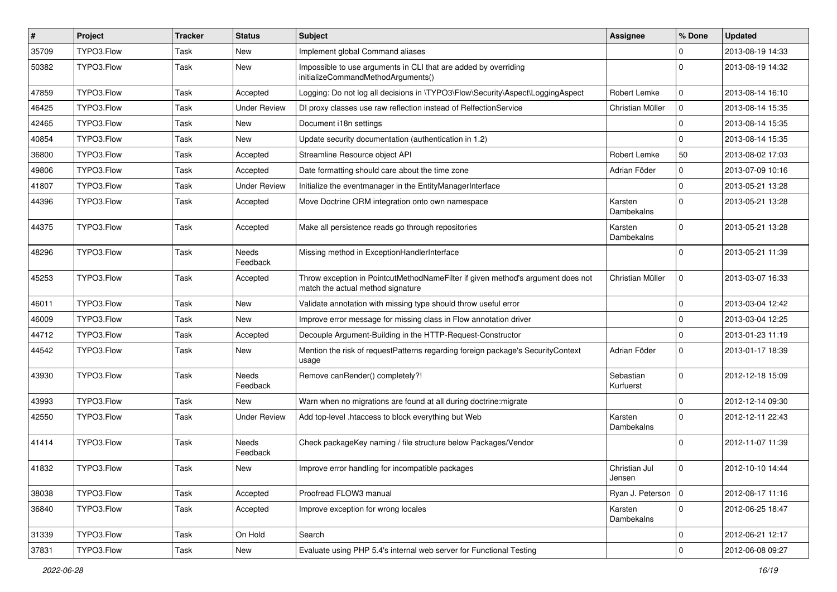| $\sharp$ | Project    | <b>Tracker</b> | <b>Status</b>            | Subject                                                                                                              | <b>Assignee</b>         | % Done      | <b>Updated</b>   |
|----------|------------|----------------|--------------------------|----------------------------------------------------------------------------------------------------------------------|-------------------------|-------------|------------------|
| 35709    | TYPO3.Flow | Task           | <b>New</b>               | Implement global Command aliases                                                                                     |                         | 0           | 2013-08-19 14:33 |
| 50382    | TYPO3.Flow | Task           | <b>New</b>               | Impossible to use arguments in CLI that are added by overriding<br>initializeCommandMethodArguments()                |                         | $\Omega$    | 2013-08-19 14:32 |
| 47859    | TYPO3.Flow | Task           | Accepted                 | Logging: Do not log all decisions in \TYPO3\Flow\Security\Aspect\LoggingAspect                                       | Robert Lemke            | $\mathbf 0$ | 2013-08-14 16:10 |
| 46425    | TYPO3.Flow | Task           | <b>Under Review</b>      | DI proxy classes use raw reflection instead of RelfectionService                                                     | Christian Müller        | $\mathbf 0$ | 2013-08-14 15:35 |
| 42465    | TYPO3.Flow | Task           | New                      | Document i18n settings                                                                                               |                         | $\mathbf 0$ | 2013-08-14 15:35 |
| 40854    | TYPO3.Flow | Task           | <b>New</b>               | Update security documentation (authentication in 1.2)                                                                |                         | $\mathbf 0$ | 2013-08-14 15:35 |
| 36800    | TYPO3.Flow | Task           | Accepted                 | Streamline Resource object API                                                                                       | Robert Lemke            | 50          | 2013-08-02 17:03 |
| 49806    | TYPO3.Flow | Task           | Accepted                 | Date formatting should care about the time zone                                                                      | Adrian Föder            | 0           | 2013-07-09 10:16 |
| 41807    | TYPO3.Flow | Task           | <b>Under Review</b>      | Initialize the eventmanager in the EntityManagerInterface                                                            |                         | $\mathbf 0$ | 2013-05-21 13:28 |
| 44396    | TYPO3.Flow | Task           | Accepted                 | Move Doctrine ORM integration onto own namespace                                                                     | Karsten<br>Dambekalns   | $\mathbf 0$ | 2013-05-21 13:28 |
| 44375    | TYPO3.Flow | Task           | Accepted                 | Make all persistence reads go through repositories                                                                   | Karsten<br>Dambekalns   | $\Omega$    | 2013-05-21 13:28 |
| 48296    | TYPO3.Flow | Task           | <b>Needs</b><br>Feedback | Missing method in ExceptionHandlerInterface                                                                          |                         | $\Omega$    | 2013-05-21 11:39 |
| 45253    | TYPO3.Flow | Task           | Accepted                 | Throw exception in PointcutMethodNameFilter if given method's argument does not<br>match the actual method signature | Christian Müller        | $\Omega$    | 2013-03-07 16:33 |
| 46011    | TYPO3.Flow | Task           | <b>New</b>               | Validate annotation with missing type should throw useful error                                                      |                         | $\mathbf 0$ | 2013-03-04 12:42 |
| 46009    | TYPO3.Flow | Task           | New                      | Improve error message for missing class in Flow annotation driver                                                    |                         | $\mathbf 0$ | 2013-03-04 12:25 |
| 44712    | TYPO3.Flow | Task           | Accepted                 | Decouple Argument-Building in the HTTP-Request-Constructor                                                           |                         | $\mathbf 0$ | 2013-01-23 11:19 |
| 44542    | TYPO3.Flow | Task           | New                      | Mention the risk of requestPatterns regarding foreign package's SecurityContext<br>usage                             | Adrian Föder            | $\mathbf 0$ | 2013-01-17 18:39 |
| 43930    | TYPO3.Flow | Task           | Needs<br>Feedback        | Remove canRender() completely?!                                                                                      | Sebastian<br>Kurfuerst  | $\Omega$    | 2012-12-18 15:09 |
| 43993    | TYPO3.Flow | Task           | <b>New</b>               | Warn when no migrations are found at all during doctrine: migrate                                                    |                         | $\mathbf 0$ | 2012-12-14 09:30 |
| 42550    | TYPO3.Flow | Task           | <b>Under Review</b>      | Add top-level .htaccess to block everything but Web                                                                  | Karsten<br>Dambekalns   | $\Omega$    | 2012-12-11 22:43 |
| 41414    | TYPO3.Flow | Task           | <b>Needs</b><br>Feedback | Check packageKey naming / file structure below Packages/Vendor                                                       |                         | $\Omega$    | 2012-11-07 11:39 |
| 41832    | TYPO3.Flow | Task           | New                      | Improve error handling for incompatible packages                                                                     | Christian Jul<br>Jensen | 0           | 2012-10-10 14:44 |
| 38038    | TYPO3.Flow | Task           | Accepted                 | Proofread FLOW3 manual                                                                                               | Ryan J. Peterson   0    |             | 2012-08-17 11:16 |
| 36840    | TYPO3.Flow | Task           | Accepted                 | Improve exception for wrong locales                                                                                  | Karsten<br>Dambekalns   | $\mathbf 0$ | 2012-06-25 18:47 |
| 31339    | TYPO3.Flow | Task           | On Hold                  | Search                                                                                                               |                         | $\mathbf 0$ | 2012-06-21 12:17 |
| 37831    | TYPO3.Flow | Task           | New                      | Evaluate using PHP 5.4's internal web server for Functional Testing                                                  |                         | $\mathbf 0$ | 2012-06-08 09:27 |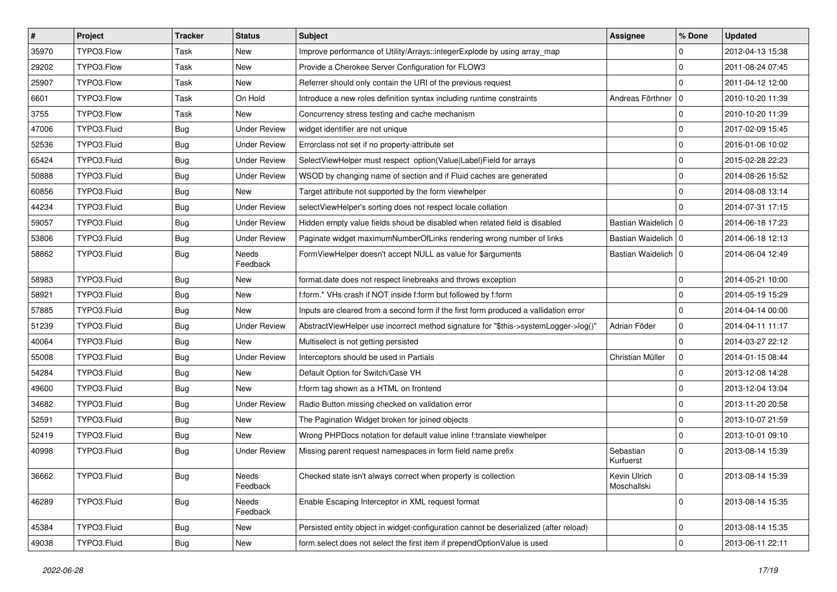| $\vert$ # | Project     | <b>Tracker</b> | <b>Status</b>            | <b>Subject</b>                                                                        | <b>Assignee</b>             | % Done      | <b>Updated</b>   |
|-----------|-------------|----------------|--------------------------|---------------------------------------------------------------------------------------|-----------------------------|-------------|------------------|
| 35970     | TYPO3.Flow  | Task           | New                      | Improve performance of Utility/Arrays::integerExplode by using array_map              |                             | $\mathbf 0$ | 2012-04-13 15:38 |
| 29202     | TYPO3.Flow  | Task           | <b>New</b>               | Provide a Cherokee Server Configuration for FLOW3                                     |                             | $\mathbf 0$ | 2011-08-24 07:45 |
| 25907     | TYPO3.Flow  | Task           | New                      | Referrer should only contain the URI of the previous request                          |                             | $\Omega$    | 2011-04-12 12:00 |
| 6601      | TYPO3.Flow  | Task           | On Hold                  | Introduce a new roles definition syntax including runtime constraints                 | Andreas Förthner            | l o         | 2010-10-20 11:39 |
| 3755      | TYPO3.Flow  | Task           | <b>New</b>               | Concurrency stress testing and cache mechanism                                        |                             | $\mathbf 0$ | 2010-10-20 11:39 |
| 47006     | TYPO3.Fluid | <b>Bug</b>     | <b>Under Review</b>      | widget identifier are not unique                                                      |                             | $\mathbf 0$ | 2017-02-09 15:45 |
| 52536     | TYPO3.Fluid | Bug            | <b>Under Review</b>      | Errorclass not set if no property-attribute set                                       |                             | $\mathbf 0$ | 2016-01-06 10:02 |
| 65424     | TYPO3.Fluid | <b>Bug</b>     | <b>Under Review</b>      | SelectViewHelper must respect option(Value Label)Field for arrays                     |                             | $\mathbf 0$ | 2015-02-28 22:23 |
| 50888     | TYPO3.Fluid | <b>Bug</b>     | <b>Under Review</b>      | WSOD by changing name of section and if Fluid caches are generated                    |                             | $\mathbf 0$ | 2014-08-26 15:52 |
| 60856     | TYPO3.Fluid | Bug            | New                      | Target attribute not supported by the form viewhelper                                 |                             | $\mathbf 0$ | 2014-08-08 13:14 |
| 44234     | TYPO3.Fluid | Bug            | <b>Under Review</b>      | selectViewHelper's sorting does not respect locale collation                          |                             | $\Omega$    | 2014-07-31 17:15 |
| 59057     | TYPO3.Fluid | <b>Bug</b>     | <b>Under Review</b>      | Hidden empty value fields shoud be disabled when related field is disabled            | Bastian Waidelich   0       |             | 2014-06-18 17:23 |
| 53806     | TYPO3.Fluid | <b>Bug</b>     | <b>Under Review</b>      | Paginate widget maximumNumberOfLinks rendering wrong number of links                  | Bastian Waidelich   0       |             | 2014-06-18 12:13 |
| 58862     | TYPO3.Fluid | <b>Bug</b>     | <b>Needs</b><br>Feedback | FormViewHelper doesn't accept NULL as value for \$arguments                           | Bastian Waidelich   0       |             | 2014-06-04 12:49 |
| 58983     | TYPO3.Fluid | <b>Bug</b>     | New                      | format.date does not respect linebreaks and throws exception                          |                             | $\mathbf 0$ | 2014-05-21 10:00 |
| 58921     | TYPO3.Fluid | <b>Bug</b>     | New                      | f:form.* VHs crash if NOT inside f:form but followed by f:form                        |                             | $\mathbf 0$ | 2014-05-19 15:29 |
| 57885     | TYPO3.Fluid | Bug            | New                      | Inputs are cleared from a second form if the first form produced a vallidation error  |                             | $\Omega$    | 2014-04-14 00:00 |
| 51239     | TYPO3.Fluid | <b>Bug</b>     | <b>Under Review</b>      | AbstractViewHelper use incorrect method signature for "\$this->systemLogger->log()"   | Adrian Föder                | $\mathbf 0$ | 2014-04-11 11:17 |
| 40064     | TYPO3.Fluid | Bug            | <b>New</b>               | Multiselect is not getting persisted                                                  |                             | $\mathbf 0$ | 2014-03-27 22:12 |
| 55008     | TYPO3.Fluid | <b>Bug</b>     | <b>Under Review</b>      | Interceptors should be used in Partials                                               | Christian Müller            | 0           | 2014-01-15 08:44 |
| 54284     | TYPO3.Fluid | Bug            | <b>New</b>               | Default Option for Switch/Case VH                                                     |                             | $\mathbf 0$ | 2013-12-08 14:28 |
| 49600     | TYPO3.Fluid | Bug            | New                      | f:form tag shown as a HTML on frontend                                                |                             | $\mathbf 0$ | 2013-12-04 13:04 |
| 34682     | TYPO3.Fluid | Bug            | <b>Under Review</b>      | Radio Button missing checked on validation error                                      |                             | $\mathbf 0$ | 2013-11-20 20:58 |
| 52591     | TYPO3.Fluid | <b>Bug</b>     | New                      | The Pagination Widget broken for joined objects                                       |                             | $\mathbf 0$ | 2013-10-07 21:59 |
| 52419     | TYPO3.Fluid | <b>Bug</b>     | New                      | Wrong PHPDocs notation for default value inline f:translate viewhelper                |                             | $\mathbf 0$ | 2013-10-01 09:10 |
| 40998     | TYPO3.Fluid | <b>Bug</b>     | <b>Under Review</b>      | Missing parent request namespaces in form field name prefix                           | Sebastian<br>Kurfuerst      | $\Omega$    | 2013-08-14 15:39 |
| 36662     | TYPO3.Fluid | <b>Bug</b>     | Needs<br>Feedback        | Checked state isn't always correct when property is collection                        | Kevin Ulrich<br>Moschallski | 0           | 2013-08-14 15:39 |
| 46289     | TYPO3.Fluid | <b>Bug</b>     | Needs<br>Feedback        | Enable Escaping Interceptor in XML request format                                     |                             | $\mathbf 0$ | 2013-08-14 15:35 |
| 45384     | TYPO3.Fluid | <b>Bug</b>     | New                      | Persisted entity object in widget-configuration cannot be deserialized (after reload) |                             | $\mathbf 0$ | 2013-08-14 15:35 |
| 49038     | TYPO3.Fluid | <b>Bug</b>     | New                      | form.select does not select the first item if prependOptionValue is used              |                             | $\mathsf 0$ | 2013-06-11 22:11 |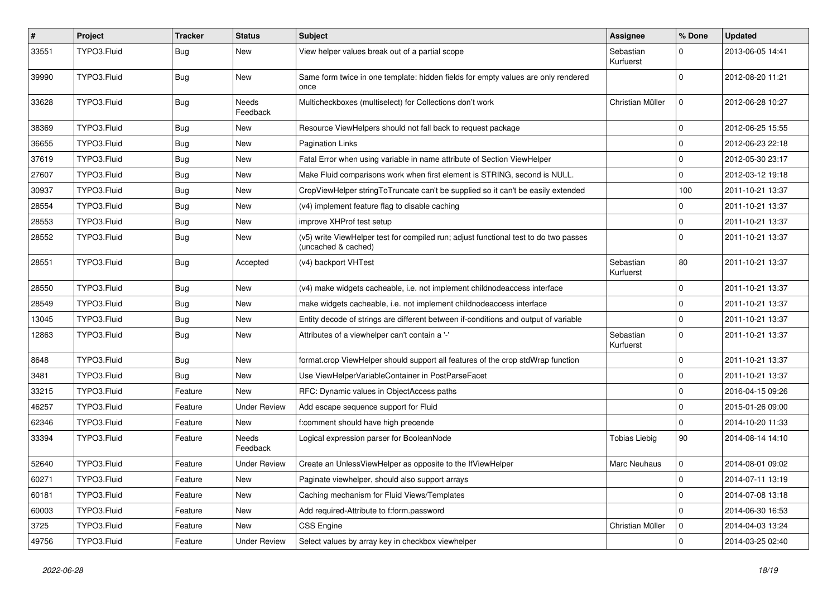| #     | Project     | Tracker    | <b>Status</b>            | <b>Subject</b>                                                                                              | <b>Assignee</b>        | % Done      | <b>Updated</b>   |
|-------|-------------|------------|--------------------------|-------------------------------------------------------------------------------------------------------------|------------------------|-------------|------------------|
| 33551 | TYPO3.Fluid | Bug        | New                      | View helper values break out of a partial scope                                                             | Sebastian<br>Kurfuerst | $\Omega$    | 2013-06-05 14:41 |
| 39990 | TYPO3.Fluid | Bug        | New                      | Same form twice in one template: hidden fields for empty values are only rendered<br>once                   |                        | $\Omega$    | 2012-08-20 11:21 |
| 33628 | TYPO3.Fluid | Bug        | <b>Needs</b><br>Feedback | Multicheckboxes (multiselect) for Collections don't work                                                    | Christian Müller       | 0           | 2012-06-28 10:27 |
| 38369 | TYPO3.Fluid | Bug        | New                      | Resource ViewHelpers should not fall back to request package                                                |                        | $\Omega$    | 2012-06-25 15:55 |
| 36655 | TYPO3.Fluid | Bug        | New                      | <b>Pagination Links</b>                                                                                     |                        | $\mathbf 0$ | 2012-06-23 22:18 |
| 37619 | TYPO3.Fluid | Bug        | New                      | Fatal Error when using variable in name attribute of Section ViewHelper                                     |                        | $\Omega$    | 2012-05-30 23:17 |
| 27607 | TYPO3.Fluid | <b>Bug</b> | New                      | Make Fluid comparisons work when first element is STRING, second is NULL.                                   |                        | $\mathbf 0$ | 2012-03-12 19:18 |
| 30937 | TYPO3.Fluid | Bug        | New                      | CropViewHelper stringToTruncate can't be supplied so it can't be easily extended                            |                        | 100         | 2011-10-21 13:37 |
| 28554 | TYPO3.Fluid | Bug        | New                      | (v4) implement feature flag to disable caching                                                              |                        | $\Omega$    | 2011-10-21 13:37 |
| 28553 | TYPO3.Fluid | Bug        | New                      | improve XHProf test setup                                                                                   |                        | 0           | 2011-10-21 13:37 |
| 28552 | TYPO3.Fluid | Bug        | New                      | (v5) write ViewHelper test for compiled run; adjust functional test to do two passes<br>(uncached & cached) |                        | $\Omega$    | 2011-10-21 13:37 |
| 28551 | TYPO3.Fluid | Bug        | Accepted                 | (v4) backport VHTest                                                                                        | Sebastian<br>Kurfuerst | 80          | 2011-10-21 13:37 |
| 28550 | TYPO3.Fluid | <b>Bug</b> | <b>New</b>               | (v4) make widgets cacheable, i.e. not implement childnodeaccess interface                                   |                        | 0           | 2011-10-21 13:37 |
| 28549 | TYPO3.Fluid | Bug        | New                      | make widgets cacheable, i.e. not implement childnodeaccess interface                                        |                        | $\mathbf 0$ | 2011-10-21 13:37 |
| 13045 | TYPO3.Fluid | Bug        | New                      | Entity decode of strings are different between if-conditions and output of variable                         |                        | $\Omega$    | 2011-10-21 13:37 |
| 12863 | TYPO3.Fluid | Bug        | <b>New</b>               | Attributes of a viewhelper can't contain a '-'                                                              | Sebastian<br>Kurfuerst | $\Omega$    | 2011-10-21 13:37 |
| 8648  | TYPO3.Fluid | Bug        | <b>New</b>               | format.crop ViewHelper should support all features of the crop stdWrap function                             |                        | $\Omega$    | 2011-10-21 13:37 |
| 3481  | TYPO3.Fluid | Bug        | New                      | Use ViewHelperVariableContainer in PostParseFacet                                                           |                        | 0           | 2011-10-21 13:37 |
| 33215 | TYPO3.Fluid | Feature    | New                      | RFC: Dynamic values in ObjectAccess paths                                                                   |                        | $\Omega$    | 2016-04-15 09:26 |
| 46257 | TYPO3.Fluid | Feature    | <b>Under Review</b>      | Add escape sequence support for Fluid                                                                       |                        | $\Omega$    | 2015-01-26 09:00 |
| 62346 | TYPO3.Fluid | Feature    | New                      | f:comment should have high precende                                                                         |                        | $\mathbf 0$ | 2014-10-20 11:33 |
| 33394 | TYPO3.Fluid | Feature    | <b>Needs</b><br>Feedback | Logical expression parser for BooleanNode                                                                   | <b>Tobias Liebig</b>   | 90          | 2014-08-14 14:10 |
| 52640 | TYPO3.Fluid | Feature    | <b>Under Review</b>      | Create an UnlessViewHelper as opposite to the IfViewHelper                                                  | <b>Marc Neuhaus</b>    | $\mathbf 0$ | 2014-08-01 09:02 |
| 60271 | TYPO3.Fluid | Feature    | New                      | Paginate viewhelper, should also support arrays                                                             |                        | 0           | 2014-07-11 13:19 |
| 60181 | TYPO3.Fluid | Feature    | New                      | Caching mechanism for Fluid Views/Templates                                                                 |                        | $\mathbf 0$ | 2014-07-08 13:18 |
| 60003 | TYPO3.Fluid | Feature    | New                      | Add required-Attribute to f:form.password                                                                   |                        | $\Omega$    | 2014-06-30 16:53 |
| 3725  | TYPO3.Fluid | Feature    | New                      | <b>CSS Engine</b>                                                                                           | Christian Müller       | 0           | 2014-04-03 13:24 |
| 49756 | TYPO3.Fluid | Feature    | <b>Under Review</b>      | Select values by array key in checkbox viewhelper                                                           |                        | 0           | 2014-03-25 02:40 |